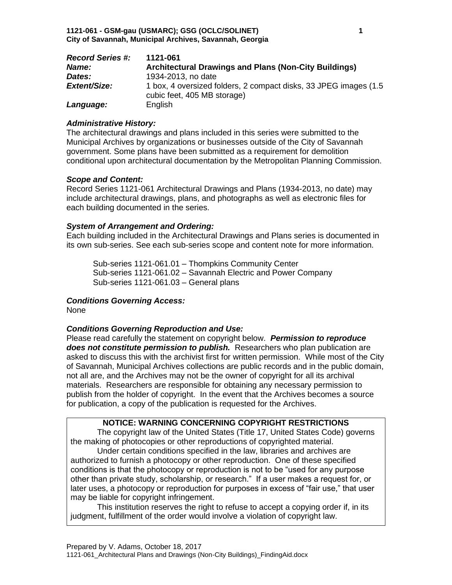| <b>Record Series #:</b> | 1121-061                                                                                         |
|-------------------------|--------------------------------------------------------------------------------------------------|
| Name:                   | <b>Architectural Drawings and Plans (Non-City Buildings)</b>                                     |
| Dates:                  | 1934-2013, no date                                                                               |
| Extent/Size:            | 1 box, 4 oversized folders, 2 compact disks, 33 JPEG images (1.5)<br>cubic feet, 405 MB storage) |
| Language:               | English                                                                                          |

### *Administrative History:*

The architectural drawings and plans included in this series were submitted to the Municipal Archives by organizations or businesses outside of the City of Savannah government. Some plans have been submitted as a requirement for demolition conditional upon architectural documentation by the Metropolitan Planning Commission.

### *Scope and Content:*

Record Series 1121-061 Architectural Drawings and Plans (1934-2013, no date) may include architectural drawings, plans, and photographs as well as electronic files for each building documented in the series.

## *System of Arrangement and Ordering:*

Each building included in the Architectural Drawings and Plans series is documented in its own sub-series. See each sub-series scope and content note for more information.

Sub-series 1121-061.01 – Thompkins Community Center Sub-series 1121-061.02 – Savannah Electric and Power Company Sub-series 1121-061.03 – General plans

## *Conditions Governing Access:*

None

## *Conditions Governing Reproduction and Use:*

Please read carefully the statement on copyright below. *Permission to reproduce does not constitute permission to publish.* Researchers who plan publication are asked to discuss this with the archivist first for written permission. While most of the City of Savannah, Municipal Archives collections are public records and in the public domain, not all are, and the Archives may not be the owner of copyright for all its archival materials. Researchers are responsible for obtaining any necessary permission to publish from the holder of copyright. In the event that the Archives becomes a source for publication, a copy of the publication is requested for the Archives.

## **NOTICE: WARNING CONCERNING COPYRIGHT RESTRICTIONS**

The copyright law of the United States (Title 17, United States Code) governs the making of photocopies or other reproductions of copyrighted material.

Under certain conditions specified in the law, libraries and archives are authorized to furnish a photocopy or other reproduction. One of these specified conditions is that the photocopy or reproduction is not to be "used for any purpose other than private study, scholarship, or research." If a user makes a request for, or later uses, a photocopy or reproduction for purposes in excess of "fair use," that user may be liable for copyright infringement.

This institution reserves the right to refuse to accept a copying order if, in its judgment, fulfillment of the order would involve a violation of copyright law.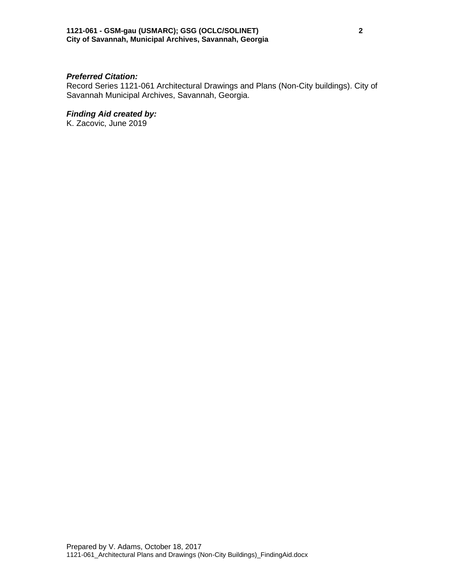### *Preferred Citation:*

Record Series 1121-061 Architectural Drawings and Plans (Non-City buildings). City of Savannah Municipal Archives, Savannah, Georgia.

## *Finding Aid created by:*

K. Zacovic, June 2019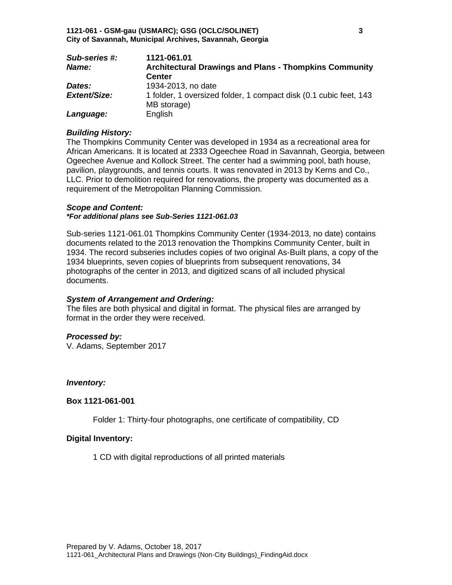| <b>Sub-series #:</b> | 1121-061.01                                                                      |
|----------------------|----------------------------------------------------------------------------------|
| Name:                | <b>Architectural Drawings and Plans - Thompkins Community</b>                    |
|                      | <b>Center</b>                                                                    |
| Dates:               | 1934-2013, no date                                                               |
| <b>Extent/Size:</b>  | 1 folder, 1 oversized folder, 1 compact disk (0.1 cubic feet, 143<br>MB storage) |
| Language:            | English                                                                          |

### *Building History:*

The Thompkins Community Center was developed in 1934 as a recreational area for African Americans. It is located at 2333 Ogeechee Road in Savannah, Georgia, between Ogeechee Avenue and Kollock Street. The center had a swimming pool, bath house, pavilion, playgrounds, and tennis courts. It was renovated in 2013 by Kerns and Co., LLC. Prior to demolition required for renovations, the property was documented as a requirement of the Metropolitan Planning Commission.

### *Scope and Content:*

*\*For additional plans see Sub-Series 1121-061.03*

Sub-series 1121-061.01 Thompkins Community Center (1934-2013, no date) contains documents related to the 2013 renovation the Thompkins Community Center, built in 1934. The record subseries includes copies of two original As-Built plans, a copy of the 1934 blueprints, seven copies of blueprints from subsequent renovations, 34 photographs of the center in 2013, and digitized scans of all included physical documents.

## *System of Arrangement and Ordering:*

The files are both physical and digital in format. The physical files are arranged by format in the order they were received.

## *Processed by:*

V. Adams, September 2017

### *Inventory:*

### **Box 1121-061-001**

Folder 1: Thirty-four photographs, one certificate of compatibility, CD

## **Digital Inventory:**

1 CD with digital reproductions of all printed materials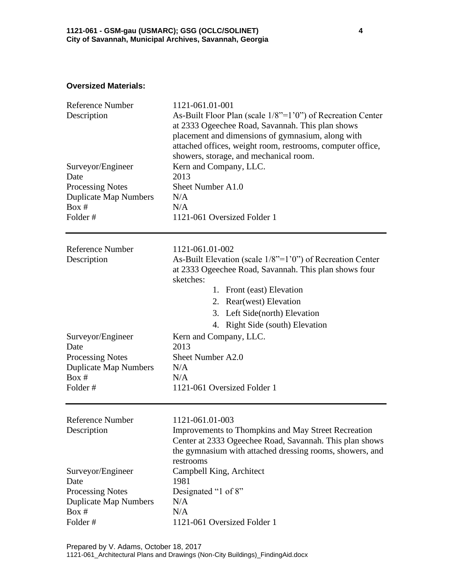## **Oversized Materials:**

| <b>Reference Number</b><br>Description | 1121-061.01-001<br>As-Built Floor Plan (scale $1/8$ "= $1'0$ ") of Recreation Center<br>at 2333 Ogeechee Road, Savannah. This plan shows<br>placement and dimensions of gymnasium, along with<br>attached offices, weight room, restrooms, computer office,<br>showers, storage, and mechanical room. |  |
|----------------------------------------|-------------------------------------------------------------------------------------------------------------------------------------------------------------------------------------------------------------------------------------------------------------------------------------------------------|--|
| Surveyor/Engineer                      | Kern and Company, LLC.                                                                                                                                                                                                                                                                                |  |
| Date                                   | 2013                                                                                                                                                                                                                                                                                                  |  |
| <b>Processing Notes</b>                | Sheet Number A1.0                                                                                                                                                                                                                                                                                     |  |
| <b>Duplicate Map Numbers</b>           | N/A                                                                                                                                                                                                                                                                                                   |  |
| Box #                                  | N/A                                                                                                                                                                                                                                                                                                   |  |
| Folder#                                | 1121-061 Oversized Folder 1                                                                                                                                                                                                                                                                           |  |
| <b>Reference Number</b>                | 1121-061.01-002                                                                                                                                                                                                                                                                                       |  |
| Description                            | As-Built Elevation (scale $1/8$ "=1'0") of Recreation Center                                                                                                                                                                                                                                          |  |
|                                        | at 2333 Ogeechee Road, Savannah. This plan shows four<br>sketches:                                                                                                                                                                                                                                    |  |
|                                        | 1. Front (east) Elevation                                                                                                                                                                                                                                                                             |  |
|                                        | 2. Rear(west) Elevation                                                                                                                                                                                                                                                                               |  |
|                                        | 3. Left Side(north) Elevation                                                                                                                                                                                                                                                                         |  |
|                                        | 4. Right Side (south) Elevation                                                                                                                                                                                                                                                                       |  |
| Surveyor/Engineer                      | Kern and Company, LLC.                                                                                                                                                                                                                                                                                |  |
| Date                                   | 2013                                                                                                                                                                                                                                                                                                  |  |
| <b>Processing Notes</b>                | Sheet Number A2.0                                                                                                                                                                                                                                                                                     |  |
| <b>Duplicate Map Numbers</b>           | N/A                                                                                                                                                                                                                                                                                                   |  |
| Box #                                  | N/A                                                                                                                                                                                                                                                                                                   |  |
| Folder#                                | 1121-061 Oversized Folder 1                                                                                                                                                                                                                                                                           |  |
| Reference Number                       | 1121-061.01-003                                                                                                                                                                                                                                                                                       |  |
| Description                            | Improvements to Thompkins and May Street Recreation<br>Center at 2333 Ogeechee Road, Savannah. This plan shows<br>the gymnasium with attached dressing rooms, showers, and<br>restrooms                                                                                                               |  |
| Surveyor/Engineer                      | Campbell King, Architect                                                                                                                                                                                                                                                                              |  |
| Date                                   | 1981                                                                                                                                                                                                                                                                                                  |  |
| <b>Processing Notes</b>                | Designated "1 of 8"                                                                                                                                                                                                                                                                                   |  |
| <b>Duplicate Map Numbers</b>           | N/A                                                                                                                                                                                                                                                                                                   |  |
| Box #                                  | N/A                                                                                                                                                                                                                                                                                                   |  |
| Folder#                                | 1121-061 Oversized Folder 1                                                                                                                                                                                                                                                                           |  |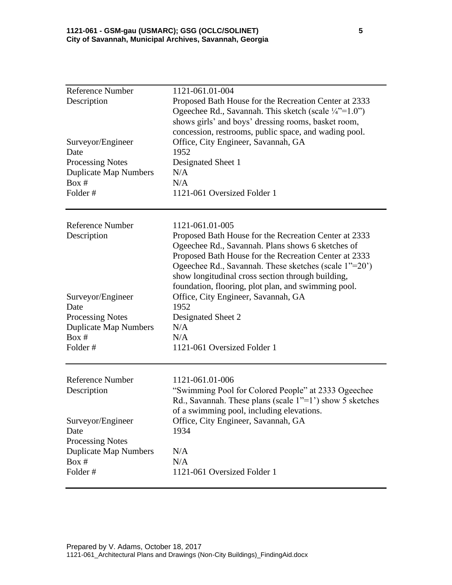| <b>Reference Number</b><br>Description<br>Surveyor/Engineer<br>Date<br><b>Processing Notes</b><br><b>Duplicate Map Numbers</b> | 1121-061.01-004<br>Proposed Bath House for the Recreation Center at 2333<br>Ogeechee Rd., Savannah. This sketch (scale $\frac{1}{4}$ "=1.0")<br>shows girls' and boys' dressing rooms, basket room,<br>concession, restrooms, public space, and wading pool.<br>Office, City Engineer, Savannah, GA<br>1952<br>Designated Sheet 1<br>N/A                    |
|--------------------------------------------------------------------------------------------------------------------------------|-------------------------------------------------------------------------------------------------------------------------------------------------------------------------------------------------------------------------------------------------------------------------------------------------------------------------------------------------------------|
| Box #                                                                                                                          | N/A                                                                                                                                                                                                                                                                                                                                                         |
| Folder#                                                                                                                        | 1121-061 Oversized Folder 1                                                                                                                                                                                                                                                                                                                                 |
| Reference Number<br>Description                                                                                                | 1121-061.01-005<br>Proposed Bath House for the Recreation Center at 2333<br>Ogeechee Rd., Savannah. Plans shows 6 sketches of<br>Proposed Bath House for the Recreation Center at 2333<br>Ogeechee Rd., Savannah. These sketches (scale 1"=20")<br>show longitudinal cross section through building,<br>foundation, flooring, plot plan, and swimming pool. |
| Surveyor/Engineer                                                                                                              | Office, City Engineer, Savannah, GA                                                                                                                                                                                                                                                                                                                         |
| Date                                                                                                                           | 1952                                                                                                                                                                                                                                                                                                                                                        |
| <b>Processing Notes</b>                                                                                                        | Designated Sheet 2                                                                                                                                                                                                                                                                                                                                          |
| <b>Duplicate Map Numbers</b>                                                                                                   | N/A                                                                                                                                                                                                                                                                                                                                                         |
| Box #<br>Folder#                                                                                                               | N/A<br>1121-061 Oversized Folder 1                                                                                                                                                                                                                                                                                                                          |
| <b>Reference Number</b><br>Description                                                                                         | 1121-061.01-006<br>"Swimming Pool for Colored People" at 2333 Ogeechee<br>Rd., Savannah. These plans (scale $1"=1'$ ) show 5 sketches                                                                                                                                                                                                                       |
| Surveyor/Engineer<br>Date                                                                                                      | of a swimming pool, including elevations.<br>Office, City Engineer, Savannah, GA<br>1934                                                                                                                                                                                                                                                                    |
| <b>Processing Notes</b><br><b>Duplicate Map Numbers</b><br>Box #<br>Folder#                                                    | N/A<br>N/A<br>1121-061 Oversized Folder 1                                                                                                                                                                                                                                                                                                                   |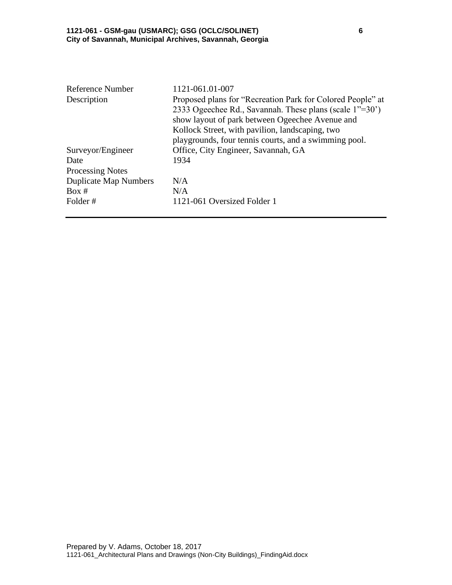| 1121-061.01-007                                            |
|------------------------------------------------------------|
| Proposed plans for "Recreation Park for Colored People" at |
| 2333 Ogeechee Rd., Savannah. These plans (scale 1"=30")    |
| show layout of park between Ogeechee Avenue and            |
| Kollock Street, with pavilion, landscaping, two            |
| playgrounds, four tennis courts, and a swimming pool.      |
| Office, City Engineer, Savannah, GA                        |
| 1934                                                       |
|                                                            |
| N/A                                                        |
| N/A                                                        |
| 1121-061 Oversized Folder 1                                |
|                                                            |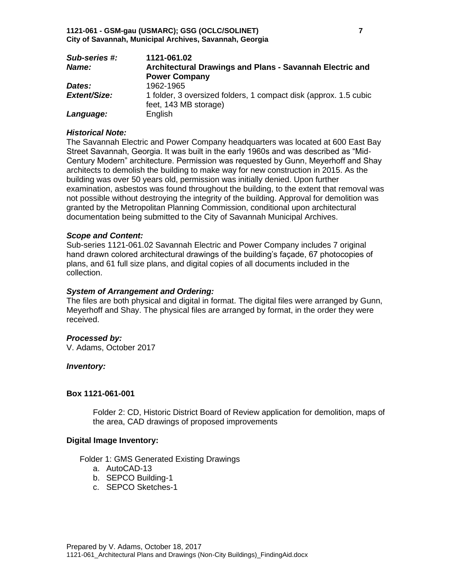| Sub-series #:       | 1121-061.02                                                                               |
|---------------------|-------------------------------------------------------------------------------------------|
| Name:               | Architectural Drawings and Plans - Savannah Electric and                                  |
|                     | <b>Power Company</b>                                                                      |
| Dates:              | 1962-1965                                                                                 |
| <b>Extent/Size:</b> | 1 folder, 3 oversized folders, 1 compact disk (approx. 1.5 cubic<br>feet, 143 MB storage) |
| Language:           | English                                                                                   |

### *Historical Note:*

The Savannah Electric and Power Company headquarters was located at 600 East Bay Street Savannah, Georgia. It was built in the early 1960s and was described as "Mid-Century Modern" architecture. Permission was requested by Gunn, Meyerhoff and Shay architects to demolish the building to make way for new construction in 2015. As the building was over 50 years old, permission was initially denied. Upon further examination, asbestos was found throughout the building, to the extent that removal was not possible without destroying the integrity of the building. Approval for demolition was granted by the Metropolitan Planning Commission, conditional upon architectural documentation being submitted to the City of Savannah Municipal Archives.

#### *Scope and Content:*

Sub-series 1121-061.02 Savannah Electric and Power Company includes 7 original hand drawn colored architectural drawings of the building's façade, 67 photocopies of plans, and 61 full size plans, and digital copies of all documents included in the collection.

#### *System of Arrangement and Ordering:*

The files are both physical and digital in format. The digital files were arranged by Gunn, Meyerhoff and Shay. The physical files are arranged by format, in the order they were received.

#### *Processed by:*

V. Adams, October 2017

#### *Inventory:*

### **Box 1121-061-001**

Folder 2: CD, Historic District Board of Review application for demolition, maps of the area, CAD drawings of proposed improvements

#### **Digital Image Inventory:**

Folder 1: GMS Generated Existing Drawings

- a. AutoCAD-13
- b. SEPCO Building-1
- c. SEPCO Sketches-1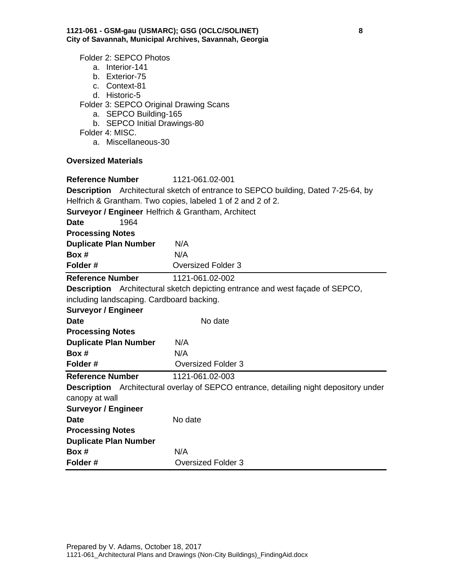Folder 2: SEPCO Photos

- a. Interior-141
- b. Exterior-75
- c. Context-81
- d. Historic-5

Folder 3: SEPCO Original Drawing Scans

- a. SEPCO Building-165
- b. SEPCO Initial Drawings-80
- Folder 4: MISC.
	- a. Miscellaneous-30

## **Oversized Materials**

| <b>Reference Number</b>                            | 1121-061.02-001                                                                              |
|----------------------------------------------------|----------------------------------------------------------------------------------------------|
|                                                    | <b>Description</b> Architectural sketch of entrance to SEPCO building, Dated 7-25-64, by     |
|                                                    | Helfrich & Grantham. Two copies, labeled 1 of 2 and 2 of 2.                                  |
| Surveyor / Engineer Helfrich & Grantham, Architect |                                                                                              |
| 1964<br>Date                                       |                                                                                              |
| <b>Processing Notes</b>                            |                                                                                              |
| <b>Duplicate Plan Number</b>                       | N/A                                                                                          |
| Box #                                              | N/A                                                                                          |
| Folder#                                            | <b>Oversized Folder 3</b>                                                                    |
| <b>Reference Number</b>                            | 1121-061.02-002                                                                              |
|                                                    | <b>Description</b> Architectural sketch depicting entrance and west façade of SEPCO,         |
| including landscaping. Cardboard backing.          |                                                                                              |
| <b>Surveyor / Engineer</b>                         |                                                                                              |
| <b>Date</b>                                        | No date                                                                                      |
| <b>Processing Notes</b>                            |                                                                                              |
| <b>Duplicate Plan Number</b>                       | N/A                                                                                          |
| Box #                                              | N/A                                                                                          |
| Folder#                                            | <b>Oversized Folder 3</b>                                                                    |
| <b>Reference Number</b>                            | 1121-061.02-003                                                                              |
|                                                    | <b>Description</b> Architectural overlay of SEPCO entrance, detailing night depository under |
| canopy at wall                                     |                                                                                              |
| <b>Surveyor / Engineer</b>                         |                                                                                              |
| <b>Date</b>                                        | No date                                                                                      |
| <b>Processing Notes</b>                            |                                                                                              |
| <b>Duplicate Plan Number</b>                       |                                                                                              |
| Box #                                              | N/A                                                                                          |
| Folder#                                            | <b>Oversized Folder 3</b>                                                                    |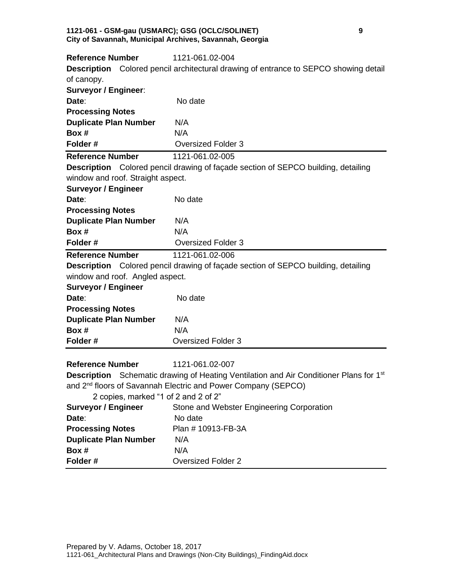#### **1121-061 - GSM-gau (USMARC); GSG (OCLC/SOLINET) 9 City of Savannah, Municipal Archives, Savannah, Georgia**

| <b>Reference Number</b>              | 1121-061.02-004                                                                                           |
|--------------------------------------|-----------------------------------------------------------------------------------------------------------|
| <b>Description</b>                   | Colored pencil architectural drawing of entrance to SEPCO showing detail                                  |
| of canopy.                           |                                                                                                           |
| <b>Surveyor / Engineer:</b>          |                                                                                                           |
| Date:                                | No date                                                                                                   |
| <b>Processing Notes</b>              |                                                                                                           |
| <b>Duplicate Plan Number</b>         | N/A                                                                                                       |
| Box #                                | N/A                                                                                                       |
| Folder#                              | <b>Oversized Folder 3</b>                                                                                 |
| <b>Reference Number</b>              | 1121-061.02-005                                                                                           |
|                                      | <b>Description</b> Colored pencil drawing of façade section of SEPCO building, detailing                  |
| window and roof. Straight aspect.    |                                                                                                           |
| <b>Surveyor / Engineer</b>           |                                                                                                           |
| Date:                                | No date                                                                                                   |
| <b>Processing Notes</b>              |                                                                                                           |
| <b>Duplicate Plan Number</b>         | N/A                                                                                                       |
| Box #                                | N/A                                                                                                       |
| Folder#                              | <b>Oversized Folder 3</b>                                                                                 |
| <b>Reference Number</b>              | 1121-061.02-006                                                                                           |
|                                      | <b>Description</b> Colored pencil drawing of façade section of SEPCO building, detailing                  |
| window and roof. Angled aspect.      |                                                                                                           |
| <b>Surveyor / Engineer</b>           |                                                                                                           |
| Date:                                | No date                                                                                                   |
| <b>Processing Notes</b>              |                                                                                                           |
| <b>Duplicate Plan Number</b>         | N/A                                                                                                       |
| Box #                                | N/A                                                                                                       |
| Folder#                              | <b>Oversized Folder 3</b>                                                                                 |
|                                      |                                                                                                           |
| <b>Reference Number</b>              | 1121-061.02-007                                                                                           |
|                                      | <b>Description</b> Schematic drawing of Heating Ventilation and Air Conditioner Plans for 1 <sup>st</sup> |
|                                      | and 2 <sup>nd</sup> floors of Savannah Electric and Power Company (SEPCO)                                 |
| 2 copies, marked "1 of 2 and 2 of 2" |                                                                                                           |
| <b>Surveyor / Engineer</b>           | Stone and Webster Engineering Corporation                                                                 |
| Date:                                | No date                                                                                                   |
| <b>Processing Notes</b>              | Plan # 10913-FB-3A                                                                                        |
| <b>Duplicate Plan Number</b>         |                                                                                                           |
|                                      | N/A                                                                                                       |
| Box #<br>Folder#                     | N/A<br><b>Oversized Folder 2</b>                                                                          |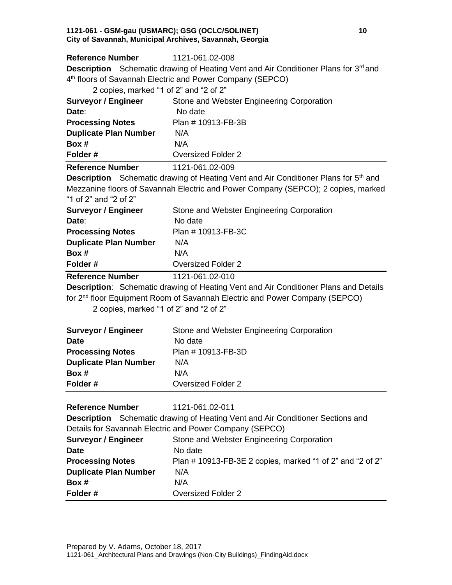#### **1121-061 - GSM-gau (USMARC); GSG (OCLC/SOLINET) 10 City of Savannah, Municipal Archives, Savannah, Georgia**

**Reference Number** 1121-061.02-008 **Description** Schematic drawing of Heating Vent and Air Conditioner Plans for 3<sup>rd</sup> and 4 th floors of Savannah Electric and Power Company (SEPCO)

| 2 copies, marked "1 of 2" and "2 of 2" |                                           |  |
|----------------------------------------|-------------------------------------------|--|
| <b>Surveyor / Engineer</b>             | Stone and Webster Engineering Corporation |  |
| Date:                                  | No date                                   |  |
| <b>Processing Notes</b>                | Plan # 10913-FB-3B                        |  |
| <b>Duplicate Plan Number</b>           | N/A                                       |  |
| Box #                                  | N/A                                       |  |
| Folder#                                | <b>Oversized Folder 2</b>                 |  |
| <b>Reference Number</b>                | 1121-061.02-009                           |  |

**Description** Schematic drawing of Heating Vent and Air Conditioner Plans for 5<sup>th</sup> and Mezzanine floors of Savannah Electric and Power Company (SEPCO); 2 copies, marked

"1 of 2" and "2 of 2"

| <b>Surveyor / Engineer</b>   | Stone and Webster Engineering Corporation |
|------------------------------|-------------------------------------------|
| Date:                        | No date                                   |
| <b>Processing Notes</b>      | Plan # 10913-FB-3C                        |
| <b>Duplicate Plan Number</b> | N/A                                       |
| Box #                        | N/A                                       |
| Folder#                      | <b>Oversized Folder 2</b>                 |
| <b>Reference Number</b>      | 1121-061.02-010                           |

**Description**: Schematic drawing of Heating Vent and Air Conditioner Plans and Details for 2<sup>nd</sup> floor Equipment Room of Savannah Electric and Power Company (SEPCO)

2 copies, marked "1 of 2" and "2 of 2"

| <b>Surveyor / Engineer</b><br><b>Date</b> | Stone and Webster Engineering Corporation<br>No date |
|-------------------------------------------|------------------------------------------------------|
| <b>Processing Notes</b>                   | Plan # 10913-FB-3D                                   |
| <b>Duplicate Plan Number</b>              | N/A                                                  |
| Box #                                     | N/A                                                  |
| Folder#                                   | <b>Oversized Folder 2</b>                            |

| <b>Reference Number</b>      | 1121-061.02-011                                                                       |
|------------------------------|---------------------------------------------------------------------------------------|
|                              | <b>Description</b> Schematic drawing of Heating Vent and Air Conditioner Sections and |
|                              | Details for Savannah Electric and Power Company (SEPCO)                               |
| <b>Surveyor / Engineer</b>   | Stone and Webster Engineering Corporation                                             |
| Date                         | No date                                                                               |
| <b>Processing Notes</b>      | Plan #10913-FB-3E 2 copies, marked "1 of 2" and "2 of 2"                              |
| <b>Duplicate Plan Number</b> | N/A                                                                                   |
| Box #                        | N/A                                                                                   |
| Folder#                      | Oversized Folder 2                                                                    |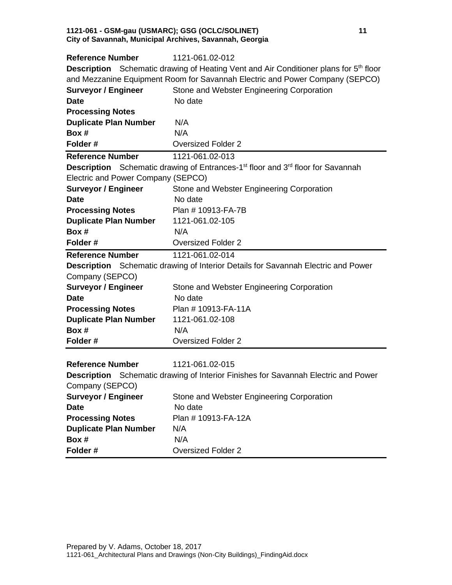#### **1121-061 - GSM-gau (USMARC); GSG (OCLC/SOLINET) 11 City of Savannah, Municipal Archives, Savannah, Georgia**

| <b>Reference Number</b>            | 1121-061.02-012                                                                                                |
|------------------------------------|----------------------------------------------------------------------------------------------------------------|
|                                    | <b>Description</b> Schematic drawing of Heating Vent and Air Conditioner plans for 5 <sup>th</sup> floor       |
|                                    | and Mezzanine Equipment Room for Savannah Electric and Power Company (SEPCO)                                   |
| <b>Surveyor / Engineer</b>         | Stone and Webster Engineering Corporation                                                                      |
| <b>Date</b>                        | No date                                                                                                        |
| <b>Processing Notes</b>            |                                                                                                                |
| <b>Duplicate Plan Number</b>       | N/A                                                                                                            |
| Box #                              | N/A                                                                                                            |
| Folder#                            | <b>Oversized Folder 2</b>                                                                                      |
| <b>Reference Number</b>            | 1121-061.02-013                                                                                                |
|                                    | <b>Description</b> Schematic drawing of Entrances-1 <sup>st</sup> floor and 3 <sup>rd</sup> floor for Savannah |
| Electric and Power Company (SEPCO) |                                                                                                                |
| <b>Surveyor / Engineer</b>         | Stone and Webster Engineering Corporation                                                                      |
| <b>Date</b>                        | No date                                                                                                        |
| <b>Processing Notes</b>            | Plan # 10913-FA-7B                                                                                             |
| <b>Duplicate Plan Number</b>       | 1121-061.02-105                                                                                                |
| Box #                              | N/A                                                                                                            |
| Folder#                            | <b>Oversized Folder 2</b>                                                                                      |
| <b>Reference Number</b>            | 1121-061.02-014                                                                                                |
|                                    | <b>Description</b> Schematic drawing of Interior Details for Savannah Electric and Power                       |
| Company (SEPCO)                    |                                                                                                                |
| <b>Surveyor / Engineer</b>         | Stone and Webster Engineering Corporation                                                                      |
| <b>Date</b>                        | No date                                                                                                        |
| <b>Processing Notes</b>            | Plan #10913-FA-11A                                                                                             |
| <b>Duplicate Plan Number</b>       | 1121-061.02-108                                                                                                |
| Box #                              | N/A                                                                                                            |
| Folder#                            | <b>Oversized Folder 2</b>                                                                                      |
|                                    |                                                                                                                |
| <b>Reference Number</b>            | 1121-061.02-015                                                                                                |
|                                    | <b>Description</b> Schematic drawing of Interior Finishes for Savannah Electric and Power                      |
| Company (SEPCO)                    |                                                                                                                |
| <b>Surveyor / Engineer</b>         | Stone and Webster Engineering Corporation                                                                      |
| <b>Date</b>                        | No date                                                                                                        |
| <b>Processing Notes</b>            | Plan # 10913-FA-12A                                                                                            |
| <b>Duplicate Plan Number</b>       | N/A                                                                                                            |
| Box #                              | N/A                                                                                                            |
| Folder#                            | <b>Oversized Folder 2</b>                                                                                      |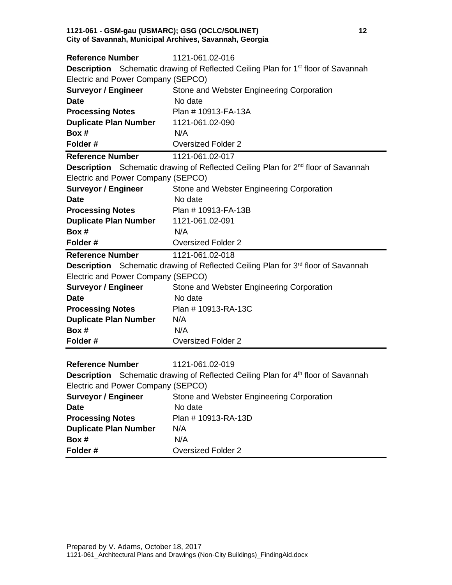#### **1121-061 - GSM-gau (USMARC); GSG (OCLC/SOLINET) 12 City of Savannah, Municipal Archives, Savannah, Georgia**

| <b>Reference Number</b>            | 1121-061.02-016                                                                                      |
|------------------------------------|------------------------------------------------------------------------------------------------------|
|                                    | <b>Description</b> Schematic drawing of Reflected Ceiling Plan for 1 <sup>st</sup> floor of Savannah |
| Electric and Power Company (SEPCO) |                                                                                                      |
| <b>Surveyor / Engineer</b>         | Stone and Webster Engineering Corporation                                                            |
| <b>Date</b>                        | No date                                                                                              |
| <b>Processing Notes</b>            | Plan #10913-FA-13A                                                                                   |
| <b>Duplicate Plan Number</b>       | 1121-061.02-090                                                                                      |
| Box #                              | N/A                                                                                                  |
| Folder#                            | <b>Oversized Folder 2</b>                                                                            |
| <b>Reference Number</b>            | 1121-061.02-017                                                                                      |
|                                    | <b>Description</b> Schematic drawing of Reflected Ceiling Plan for 2 <sup>nd</sup> floor of Savannah |
| Electric and Power Company (SEPCO) |                                                                                                      |
| <b>Surveyor / Engineer</b>         | Stone and Webster Engineering Corporation                                                            |
| <b>Date</b>                        | No date                                                                                              |
| <b>Processing Notes</b>            | Plan # 10913-FA-13B                                                                                  |
| <b>Duplicate Plan Number</b>       | 1121-061.02-091                                                                                      |
| Box #                              | N/A                                                                                                  |
| Folder#                            | <b>Oversized Folder 2</b>                                                                            |
| <b>Reference Number</b>            | 1121-061.02-018                                                                                      |
|                                    | Description Schematic drawing of Reflected Ceiling Plan for 3 <sup>rd</sup> floor of Savannah        |
| Electric and Power Company (SEPCO) |                                                                                                      |
| <b>Surveyor / Engineer</b>         | Stone and Webster Engineering Corporation                                                            |
| <b>Date</b>                        | No date                                                                                              |
| <b>Processing Notes</b>            | Plan # 10913-RA-13C                                                                                  |
| <b>Duplicate Plan Number</b>       | N/A                                                                                                  |
| Box #                              | N/A                                                                                                  |
| Folder#                            | <b>Oversized Folder 2</b>                                                                            |
|                                    |                                                                                                      |
| <b>Reference Number</b>            | 1121-061.02-019                                                                                      |
|                                    | <b>Description</b> Schematic drawing of Reflected Ceiling Plan for 4 <sup>th</sup> floor of Savannah |
| Electric and Power Company (SEPCO) |                                                                                                      |
| <b>Surveyor / Engineer</b>         | Stone and Webster Engineering Corporation                                                            |
| <b>Date</b>                        | No date                                                                                              |
| <b>Processing Notes</b>            | Plan # 10913-RA-13D                                                                                  |
| <b>Duplicate Plan Number</b>       | N/A                                                                                                  |
| Box #                              | N/A                                                                                                  |
| Folder#                            | <b>Oversized Folder 2</b>                                                                            |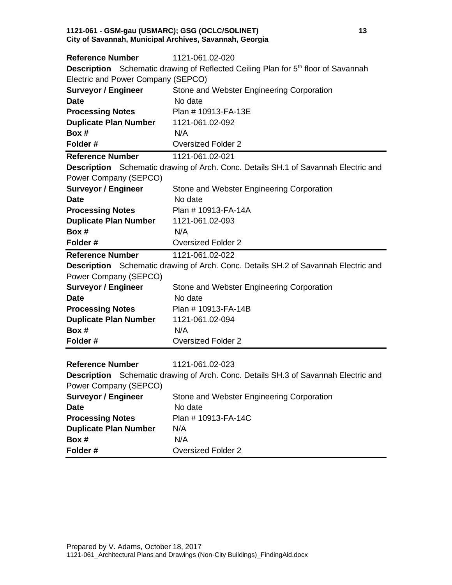#### **1121-061 - GSM-gau (USMARC); GSG (OCLC/SOLINET) 13 City of Savannah, Municipal Archives, Savannah, Georgia**

| <b>Reference Number</b>            | 1121-061.02-020                                                                                      |
|------------------------------------|------------------------------------------------------------------------------------------------------|
|                                    | <b>Description</b> Schematic drawing of Reflected Ceiling Plan for 5 <sup>th</sup> floor of Savannah |
| Electric and Power Company (SEPCO) |                                                                                                      |
| <b>Surveyor / Engineer</b>         | Stone and Webster Engineering Corporation                                                            |
| <b>Date</b>                        | No date                                                                                              |
| <b>Processing Notes</b>            | Plan # 10913-FA-13E                                                                                  |
| <b>Duplicate Plan Number</b>       | 1121-061.02-092                                                                                      |
| Box #                              | N/A                                                                                                  |
| Folder#                            | <b>Oversized Folder 2</b>                                                                            |
| <b>Reference Number</b>            | 1121-061.02-021                                                                                      |
|                                    | <b>Description</b> Schematic drawing of Arch. Conc. Details SH.1 of Savannah Electric and            |
| Power Company (SEPCO)              |                                                                                                      |
| <b>Surveyor / Engineer</b>         | Stone and Webster Engineering Corporation                                                            |
| <b>Date</b>                        | No date                                                                                              |
| <b>Processing Notes</b>            | Plan # 10913-FA-14A                                                                                  |
| <b>Duplicate Plan Number</b>       | 1121-061.02-093                                                                                      |
| Box #                              | N/A                                                                                                  |
| Folder#                            | <b>Oversized Folder 2</b>                                                                            |
| <b>Reference Number</b>            | 1121-061.02-022                                                                                      |
|                                    | <b>Description</b> Schematic drawing of Arch. Conc. Details SH.2 of Savannah Electric and            |
| Power Company (SEPCO)              |                                                                                                      |
| <b>Surveyor / Engineer</b>         | Stone and Webster Engineering Corporation                                                            |
| <b>Date</b>                        | No date                                                                                              |
| <b>Processing Notes</b>            | Plan # 10913-FA-14B                                                                                  |
| <b>Duplicate Plan Number</b>       | 1121-061.02-094                                                                                      |
| Box #                              | N/A                                                                                                  |
| Folder#                            | <b>Oversized Folder 2</b>                                                                            |
|                                    |                                                                                                      |
| <b>Reference Number</b>            | 1121-061.02-023                                                                                      |
|                                    | <b>Description</b> Schematic drawing of Arch. Conc. Details SH.3 of Savannah Electric and            |
| Power Company (SEPCO)              |                                                                                                      |
| <b>Surveyor / Engineer</b>         | Stone and Webster Engineering Corporation                                                            |
| <b>Date</b>                        | No date                                                                                              |
| <b>Processing Notes</b>            | Plan # 10913-FA-14C                                                                                  |
| <b>Duplicate Plan Number</b>       | N/A                                                                                                  |
| Box #                              | N/A                                                                                                  |
| Folder#                            | <b>Oversized Folder 2</b>                                                                            |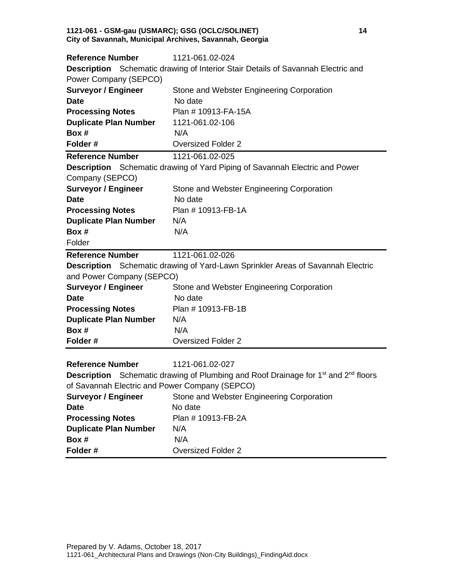#### **1121-061 - GSM-gau (USMARC); GSG (OCLC/SOLINET) 14 City of Savannah, Municipal Archives, Savannah, Georgia**

| <b>Reference Number</b>                        | 1121-061.02-024                                                                                                   |
|------------------------------------------------|-------------------------------------------------------------------------------------------------------------------|
|                                                | <b>Description</b> Schematic drawing of Interior Stair Details of Savannah Electric and                           |
| Power Company (SEPCO)                          |                                                                                                                   |
| <b>Surveyor / Engineer</b>                     | Stone and Webster Engineering Corporation                                                                         |
| <b>Date</b>                                    | No date                                                                                                           |
| <b>Processing Notes</b>                        | Plan #10913-FA-15A                                                                                                |
| <b>Duplicate Plan Number</b>                   | 1121-061.02-106                                                                                                   |
| Box #                                          | N/A                                                                                                               |
| Folder#                                        | <b>Oversized Folder 2</b>                                                                                         |
| <b>Reference Number</b>                        | 1121-061.02-025                                                                                                   |
|                                                | <b>Description</b> Schematic drawing of Yard Piping of Savannah Electric and Power                                |
| Company (SEPCO)                                |                                                                                                                   |
| <b>Surveyor / Engineer</b>                     | Stone and Webster Engineering Corporation                                                                         |
| <b>Date</b>                                    | No date                                                                                                           |
| <b>Processing Notes</b>                        | Plan # 10913-FB-1A                                                                                                |
| <b>Duplicate Plan Number</b>                   | N/A                                                                                                               |
| Box #                                          | N/A                                                                                                               |
| Folder                                         |                                                                                                                   |
| <b>Reference Number</b>                        | 1121-061.02-026                                                                                                   |
|                                                | <b>Description</b> Schematic drawing of Yard-Lawn Sprinkler Areas of Savannah Electric                            |
| and Power Company (SEPCO)                      |                                                                                                                   |
| <b>Surveyor / Engineer</b>                     | Stone and Webster Engineering Corporation                                                                         |
| <b>Date</b>                                    | No date                                                                                                           |
| <b>Processing Notes</b>                        | Plan # 10913-FB-1B                                                                                                |
| <b>Duplicate Plan Number</b>                   | N/A                                                                                                               |
| Box #                                          | N/A                                                                                                               |
| Folder#                                        | <b>Oversized Folder 2</b>                                                                                         |
|                                                |                                                                                                                   |
| <b>Reference Number</b>                        | 1121-061.02-027                                                                                                   |
|                                                | <b>Description</b> Schematic drawing of Plumbing and Roof Drainage for 1 <sup>st</sup> and 2 <sup>nd</sup> floors |
| of Savannah Electric and Power Company (SEPCO) |                                                                                                                   |
| <b>Surveyor / Engineer</b>                     | Stone and Webster Engineering Corporation                                                                         |
| <b>Date</b>                                    | No date                                                                                                           |
| <b>Processing Notes</b>                        | Plan # 10913-FB-2A                                                                                                |
| <b>Duplicate Plan Number</b>                   | N/A                                                                                                               |
| Box #                                          | N/A                                                                                                               |
| Folder#                                        | <b>Oversized Folder 2</b>                                                                                         |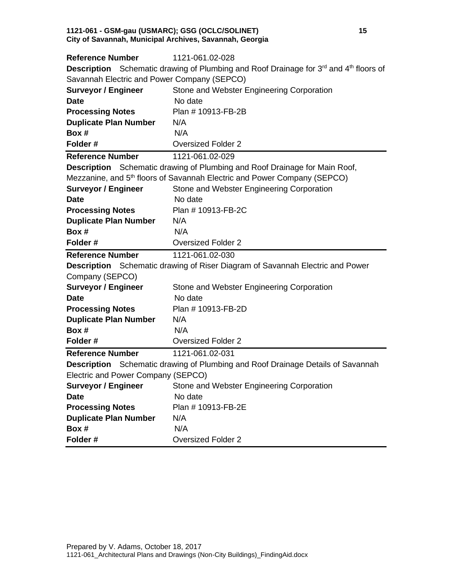#### **1121-061 - GSM-gau (USMARC); GSG (OCLC/SOLINET) 15 City of Savannah, Municipal Archives, Savannah, Georgia**

| <b>Reference Number</b>                     | 1121-061.02-028                                                                                        |
|---------------------------------------------|--------------------------------------------------------------------------------------------------------|
|                                             | <b>Description</b> Schematic drawing of Plumbing and Roof Drainage for $3^{rd}$ and $4^{th}$ floors of |
| Savannah Electric and Power Company (SEPCO) |                                                                                                        |
| <b>Surveyor / Engineer</b>                  | Stone and Webster Engineering Corporation                                                              |
| <b>Date</b>                                 | No date                                                                                                |
| <b>Processing Notes</b>                     | Plan # 10913-FB-2B                                                                                     |
| <b>Duplicate Plan Number</b>                | N/A                                                                                                    |
| Box #                                       | N/A                                                                                                    |
| Folder#                                     | <b>Oversized Folder 2</b>                                                                              |
| <b>Reference Number</b>                     | 1121-061.02-029                                                                                        |
|                                             | <b>Description</b> Schematic drawing of Plumbing and Roof Drainage for Main Roof,                      |
|                                             | Mezzanine, and 5 <sup>th</sup> floors of Savannah Electric and Power Company (SEPCO)                   |
| <b>Surveyor / Engineer</b>                  | Stone and Webster Engineering Corporation                                                              |
| <b>Date</b>                                 | No date                                                                                                |
| <b>Processing Notes</b>                     | Plan # 10913-FB-2C                                                                                     |
| <b>Duplicate Plan Number</b>                | N/A                                                                                                    |
| Box #                                       | N/A                                                                                                    |
| Folder#                                     | <b>Oversized Folder 2</b>                                                                              |
|                                             |                                                                                                        |
| <b>Reference Number</b>                     | 1121-061.02-030                                                                                        |
|                                             | Description Schematic drawing of Riser Diagram of Savannah Electric and Power                          |
| Company (SEPCO)                             |                                                                                                        |
| <b>Surveyor / Engineer</b>                  | Stone and Webster Engineering Corporation                                                              |
| <b>Date</b>                                 | No date                                                                                                |
| <b>Processing Notes</b>                     | Plan # 10913-FB-2D                                                                                     |
| <b>Duplicate Plan Number</b>                | N/A                                                                                                    |
| Box #                                       | N/A                                                                                                    |
| Folder#                                     | <b>Oversized Folder 2</b>                                                                              |
| <b>Reference Number</b>                     | 1121-061.02-031                                                                                        |
|                                             | <b>Description</b> Schematic drawing of Plumbing and Roof Drainage Details of Savannah                 |
| Electric and Power Company (SEPCO)          |                                                                                                        |
|                                             | <b>Surveyor / Engineer</b> Stone and Webster Engineering Corporation                                   |
| <b>Date</b>                                 | No date                                                                                                |
| <b>Processing Notes</b>                     | Plan # 10913-FB-2E                                                                                     |
| <b>Duplicate Plan Number</b>                | N/A                                                                                                    |
| Box #<br>Folder#                            | N/A<br><b>Oversized Folder 2</b>                                                                       |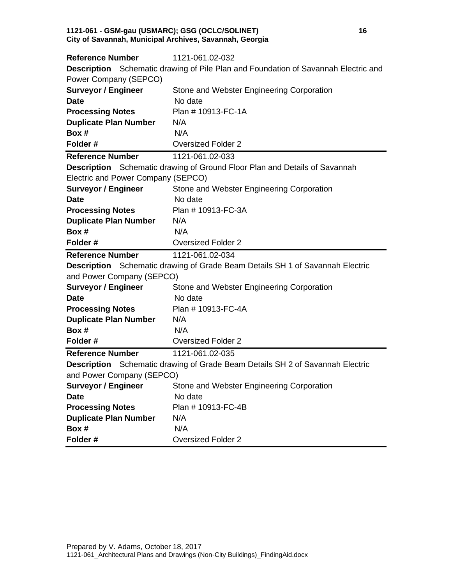#### **1121-061 - GSM-gau (USMARC); GSG (OCLC/SOLINET) 16 City of Savannah, Municipal Archives, Savannah, Georgia**

| <b>Reference Number</b>            | 1121-061.02-032                                                                      |
|------------------------------------|--------------------------------------------------------------------------------------|
|                                    | Description Schematic drawing of Pile Plan and Foundation of Savannah Electric and   |
| Power Company (SEPCO)              |                                                                                      |
| <b>Surveyor / Engineer</b>         | Stone and Webster Engineering Corporation                                            |
| <b>Date</b>                        | No date                                                                              |
| <b>Processing Notes</b>            | Plan # 10913-FC-1A                                                                   |
| <b>Duplicate Plan Number</b>       | N/A                                                                                  |
| Box #                              | N/A                                                                                  |
| Folder#                            | <b>Oversized Folder 2</b>                                                            |
| <b>Reference Number</b>            | 1121-061.02-033                                                                      |
|                                    | Description Schematic drawing of Ground Floor Plan and Details of Savannah           |
| Electric and Power Company (SEPCO) |                                                                                      |
| <b>Surveyor / Engineer</b>         | Stone and Webster Engineering Corporation                                            |
| <b>Date</b>                        | No date                                                                              |
| <b>Processing Notes</b>            | Plan # 10913-FC-3A                                                                   |
| <b>Duplicate Plan Number</b>       | N/A                                                                                  |
| Box #                              | N/A                                                                                  |
| Folder#                            | <b>Oversized Folder 2</b>                                                            |
| <b>Reference Number</b>            | 1121-061.02-034                                                                      |
|                                    | <b>Description</b> Schematic drawing of Grade Beam Details SH 1 of Savannah Electric |
| and Power Company (SEPCO)          |                                                                                      |
| <b>Surveyor / Engineer</b>         | Stone and Webster Engineering Corporation                                            |
| <b>Date</b>                        |                                                                                      |
|                                    | No date                                                                              |
| <b>Processing Notes</b>            | Plan # 10913-FC-4A                                                                   |
| <b>Duplicate Plan Number</b>       | N/A                                                                                  |
| Box #                              | N/A                                                                                  |
| Folder#                            | <b>Oversized Folder 2</b>                                                            |
| <b>Reference Number</b>            | 1121-061.02-035                                                                      |
|                                    | <b>Description</b> Schematic drawing of Grade Beam Details SH 2 of Savannah Electric |
| and Power Company (SEPCO)          |                                                                                      |
|                                    | <b>Surveyor / Engineer</b> Stone and Webster Engineering Corporation                 |
| <b>Date</b>                        | No date                                                                              |
| <b>Processing Notes</b>            | Plan # 10913-FC-4B                                                                   |
| <b>Duplicate Plan Number</b>       | N/A                                                                                  |
| Box #<br>Folder#                   | N/A                                                                                  |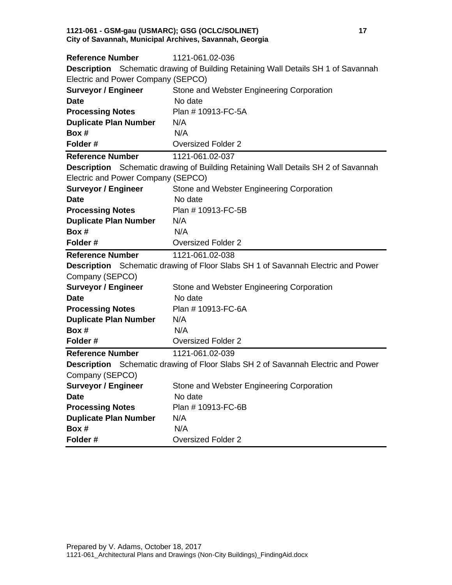#### **1121-061 - GSM-gau (USMARC); GSG (OCLC/SOLINET) 17 City of Savannah, Municipal Archives, Savannah, Georgia**

| <b>Reference Number</b>            | 1121-061.02-036                                                                          |
|------------------------------------|------------------------------------------------------------------------------------------|
|                                    | Description Schematic drawing of Building Retaining Wall Details SH 1 of Savannah        |
| Electric and Power Company (SEPCO) |                                                                                          |
| <b>Surveyor / Engineer</b>         | Stone and Webster Engineering Corporation                                                |
| <b>Date</b>                        | No date                                                                                  |
| <b>Processing Notes</b>            | Plan # 10913-FC-5A                                                                       |
| <b>Duplicate Plan Number</b>       | N/A                                                                                      |
| Box #                              | N/A                                                                                      |
| Folder#                            | <b>Oversized Folder 2</b>                                                                |
| <b>Reference Number</b>            | 1121-061.02-037                                                                          |
|                                    | <b>Description</b> Schematic drawing of Building Retaining Wall Details SH 2 of Savannah |
| Electric and Power Company (SEPCO) |                                                                                          |
| <b>Surveyor / Engineer</b>         | Stone and Webster Engineering Corporation                                                |
| <b>Date</b>                        | No date                                                                                  |
| <b>Processing Notes</b>            | Plan # 10913-FC-5B                                                                       |
| <b>Duplicate Plan Number</b>       | N/A                                                                                      |
| Box #                              | N/A                                                                                      |
| Folder#                            | <b>Oversized Folder 2</b>                                                                |
|                                    |                                                                                          |
| <b>Reference Number</b>            | 1121-061.02-038                                                                          |
|                                    | <b>Description</b> Schematic drawing of Floor Slabs SH 1 of Savannah Electric and Power  |
| Company (SEPCO)                    |                                                                                          |
| <b>Surveyor / Engineer</b>         | Stone and Webster Engineering Corporation                                                |
| <b>Date</b>                        | No date                                                                                  |
| <b>Processing Notes</b>            | Plan # 10913-FC-6A                                                                       |
| <b>Duplicate Plan Number</b>       | N/A                                                                                      |
| Box #                              | N/A                                                                                      |
| Folder#                            | <b>Oversized Folder 2</b>                                                                |
| <b>Reference Number</b>            | 1121-061.02-039                                                                          |
|                                    | <b>Description</b> Schematic drawing of Floor Slabs SH 2 of Savannah Electric and Power  |
| Company (SEPCO)                    |                                                                                          |
| <b>Surveyor / Engineer</b>         | Stone and Webster Engineering Corporation                                                |
| <b>Date</b>                        | No date                                                                                  |
| <b>Processing Notes</b>            | Plan # 10913-FC-6B                                                                       |
| <b>Duplicate Plan Number</b>       | N/A                                                                                      |
| Box #                              | N/A                                                                                      |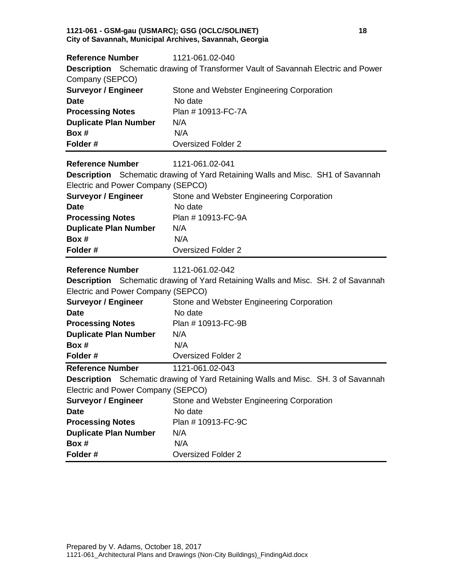#### **1121-061 - GSM-gau (USMARC); GSG (OCLC/SOLINET) 18 City of Savannah, Municipal Archives, Savannah, Georgia**

| <b>Reference Number</b>                   | 1121-061.02-040                                                                          |
|-------------------------------------------|------------------------------------------------------------------------------------------|
|                                           | <b>Description</b> Schematic drawing of Transformer Vault of Savannah Electric and Power |
| Company (SEPCO)                           |                                                                                          |
| <b>Surveyor / Engineer</b>                | Stone and Webster Engineering Corporation                                                |
| <b>Date</b>                               | No date                                                                                  |
| <b>Processing Notes</b>                   | Plan # 10913-FC-7A                                                                       |
| <b>Duplicate Plan Number</b>              | N/A                                                                                      |
| Box #                                     | N/A                                                                                      |
| Folder#                                   | <b>Oversized Folder 2</b>                                                                |
| <b>Reference Number</b>                   | 1121-061.02-041                                                                          |
|                                           | <b>Description</b> Schematic drawing of Yard Retaining Walls and Misc. SH1 of Savannah   |
| Electric and Power Company (SEPCO)        |                                                                                          |
| <b>Surveyor / Engineer</b>                | Stone and Webster Engineering Corporation                                                |
| <b>Date</b>                               | No date                                                                                  |
| <b>Processing Notes</b>                   | Plan # 10913-FC-9A                                                                       |
| <b>Duplicate Plan Number</b>              | N/A                                                                                      |
| Box #                                     | N/A                                                                                      |
| Folder#                                   | <b>Oversized Folder 2</b>                                                                |
|                                           |                                                                                          |
| <b>Reference Number</b>                   | 1121-061.02-042                                                                          |
|                                           |                                                                                          |
|                                           | <b>Description</b> Schematic drawing of Yard Retaining Walls and Misc. SH. 2 of Savannah |
| Electric and Power Company (SEPCO)        |                                                                                          |
| <b>Surveyor / Engineer</b><br><b>Date</b> | Stone and Webster Engineering Corporation<br>No date                                     |
|                                           | Plan # 10913-FC-9B                                                                       |
| <b>Processing Notes</b>                   | N/A                                                                                      |
| <b>Duplicate Plan Number</b><br>Box #     | N/A                                                                                      |
| Folder#                                   | <b>Oversized Folder 2</b>                                                                |
| <b>Reference Number</b>                   | 1121-061.02-043                                                                          |
|                                           | <b>Description</b> Schematic drawing of Yard Retaining Walls and Misc. SH. 3 of Savannah |
| Electric and Power Company (SEPCO)        |                                                                                          |
| <b>Surveyor / Engineer</b>                | Stone and Webster Engineering Corporation                                                |
|                                           | No date                                                                                  |
| <b>Date</b><br><b>Processing Notes</b>    | Plan # 10913-FC-9C                                                                       |
| <b>Duplicate Plan Number</b>              | N/A                                                                                      |
| Box #                                     | N/A                                                                                      |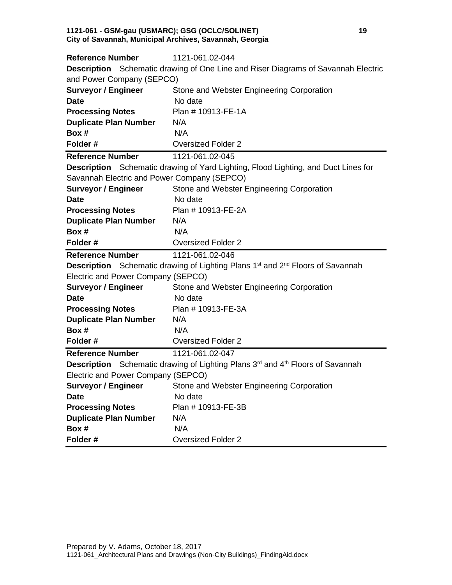#### **1121-061 - GSM-gau (USMARC); GSG (OCLC/SOLINET) 19 City of Savannah, Municipal Archives, Savannah, Georgia**

| <b>Reference Number</b>                     | 1121-061.02-044                                                                                               |
|---------------------------------------------|---------------------------------------------------------------------------------------------------------------|
|                                             | Description Schematic drawing of One Line and Riser Diagrams of Savannah Electric                             |
| and Power Company (SEPCO)                   |                                                                                                               |
| <b>Surveyor / Engineer</b>                  | Stone and Webster Engineering Corporation                                                                     |
| <b>Date</b>                                 | No date                                                                                                       |
| <b>Processing Notes</b>                     | Plan # 10913-FE-1A                                                                                            |
| <b>Duplicate Plan Number</b>                | N/A                                                                                                           |
| Box #                                       | N/A                                                                                                           |
| Folder#                                     | <b>Oversized Folder 2</b>                                                                                     |
| <b>Reference Number</b>                     | 1121-061.02-045                                                                                               |
|                                             | Description Schematic drawing of Yard Lighting, Flood Lighting, and Duct Lines for                            |
| Savannah Electric and Power Company (SEPCO) |                                                                                                               |
| <b>Surveyor / Engineer</b>                  | Stone and Webster Engineering Corporation                                                                     |
| <b>Date</b>                                 | No date                                                                                                       |
| <b>Processing Notes</b>                     | Plan # 10913-FE-2A                                                                                            |
| <b>Duplicate Plan Number</b>                | N/A                                                                                                           |
| Box #                                       | N/A                                                                                                           |
| Folder#                                     | <b>Oversized Folder 2</b>                                                                                     |
|                                             |                                                                                                               |
| <b>Reference Number</b>                     | 1121-061.02-046                                                                                               |
|                                             | <b>Description</b> Schematic drawing of Lighting Plans 1 <sup>st</sup> and 2 <sup>nd</sup> Floors of Savannah |
| Electric and Power Company (SEPCO)          |                                                                                                               |
| <b>Surveyor / Engineer</b>                  | Stone and Webster Engineering Corporation                                                                     |
| <b>Date</b>                                 | No date                                                                                                       |
| <b>Processing Notes</b>                     | Plan # 10913-FE-3A                                                                                            |
| <b>Duplicate Plan Number</b>                | N/A                                                                                                           |
| Box #                                       | N/A                                                                                                           |
| Folder#                                     | <b>Oversized Folder 2</b>                                                                                     |
| <b>Reference Number</b>                     | 1121-061.02-047                                                                                               |
|                                             | <b>Description</b> Schematic drawing of Lighting Plans 3 <sup>rd</sup> and 4 <sup>th</sup> Floors of Savannah |
| Electric and Power Company (SEPCO)          |                                                                                                               |
|                                             | <b>Surveyor / Engineer</b> Stone and Webster Engineering Corporation                                          |
| <b>Date</b>                                 | No date                                                                                                       |
| <b>Processing Notes</b>                     | Plan # 10913-FE-3B                                                                                            |
| <b>Duplicate Plan Number</b>                | N/A                                                                                                           |
| Box #                                       | N/A                                                                                                           |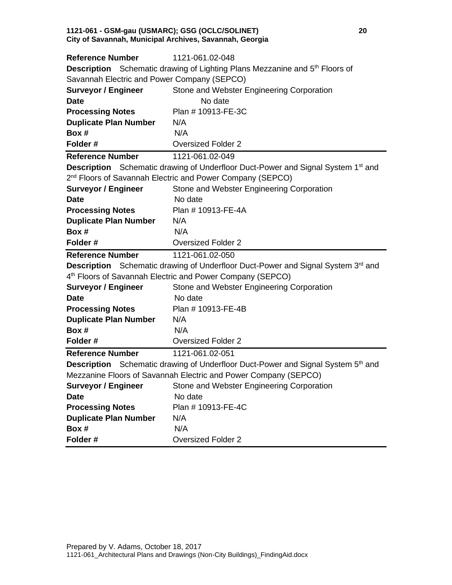#### **1121-061 - GSM-gau (USMARC); GSG (OCLC/SOLINET) 20 City of Savannah, Municipal Archives, Savannah, Georgia**

| <b>Reference Number</b>                     | 1121-061.02-048                                                                                     |
|---------------------------------------------|-----------------------------------------------------------------------------------------------------|
|                                             | <b>Description</b> Schematic drawing of Lighting Plans Mezzanine and 5 <sup>th</sup> Floors of      |
| Savannah Electric and Power Company (SEPCO) |                                                                                                     |
| <b>Surveyor / Engineer</b>                  | Stone and Webster Engineering Corporation                                                           |
| <b>Date</b>                                 | No date                                                                                             |
| <b>Processing Notes</b>                     | Plan # 10913-FE-3C                                                                                  |
| <b>Duplicate Plan Number</b>                | N/A                                                                                                 |
| Box #                                       | N/A                                                                                                 |
| Folder#                                     | <b>Oversized Folder 2</b>                                                                           |
| <b>Reference Number</b>                     | 1121-061.02-049                                                                                     |
|                                             | <b>Description</b> Schematic drawing of Underfloor Duct-Power and Signal System 1 <sup>st</sup> and |
|                                             | 2 <sup>nd</sup> Floors of Savannah Electric and Power Company (SEPCO)                               |
| <b>Surveyor / Engineer</b>                  | Stone and Webster Engineering Corporation                                                           |
| <b>Date</b>                                 | No date                                                                                             |
| <b>Processing Notes</b>                     | Plan # 10913-FE-4A                                                                                  |
| <b>Duplicate Plan Number</b>                | N/A                                                                                                 |
| Box #                                       | N/A                                                                                                 |
| Folder#                                     | <b>Oversized Folder 2</b>                                                                           |
| <b>Reference Number</b>                     | 1121-061.02-050                                                                                     |
|                                             | <b>Description</b> Schematic drawing of Underfloor Duct-Power and Signal System 3 <sup>rd</sup> and |
|                                             | 4 <sup>th</sup> Floors of Savannah Electric and Power Company (SEPCO)                               |
| <b>Surveyor / Engineer</b>                  | Stone and Webster Engineering Corporation                                                           |
| <b>Date</b>                                 | No date                                                                                             |
| <b>Processing Notes</b>                     | Plan # 10913-FE-4B                                                                                  |
| <b>Duplicate Plan Number</b>                | N/A                                                                                                 |
| Box #                                       | N/A                                                                                                 |
| Folder#                                     | <b>Oversized Folder 2</b>                                                                           |
| <b>Reference Number</b>                     | 1121-061.02-051                                                                                     |
|                                             | <b>Description</b> Schematic drawing of Underfloor Duct-Power and Signal System 5 <sup>th</sup> and |
|                                             | Mezzanine Floors of Savannah Electric and Power Company (SEPCO)                                     |
|                                             | <b>Surveyor / Engineer</b> Stone and Webster Engineering Corporation                                |
| <b>Date</b>                                 | No date                                                                                             |
| <b>Processing Notes</b>                     | Plan # 10913-FE-4C                                                                                  |
| <b>Duplicate Plan Number</b>                | N/A                                                                                                 |
| Box #                                       | N/A                                                                                                 |
| Folder#                                     | <b>Oversized Folder 2</b>                                                                           |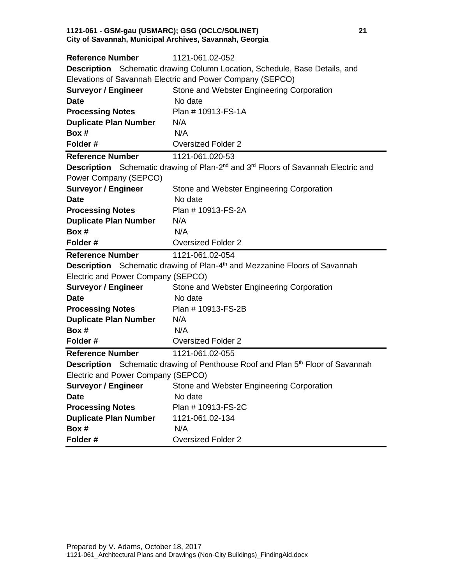#### **1121-061 - GSM-gau (USMARC); GSG (OCLC/SOLINET) 21 City of Savannah, Municipal Archives, Savannah, Georgia**

| <b>Reference Number</b>            | 1121-061.02-052                                                                                                  |
|------------------------------------|------------------------------------------------------------------------------------------------------------------|
|                                    | <b>Description</b> Schematic drawing Column Location, Schedule, Base Details, and                                |
|                                    | Elevations of Savannah Electric and Power Company (SEPCO)                                                        |
| <b>Surveyor / Engineer</b>         | Stone and Webster Engineering Corporation                                                                        |
| <b>Date</b>                        | No date                                                                                                          |
| <b>Processing Notes</b>            | Plan # 10913-FS-1A                                                                                               |
| <b>Duplicate Plan Number</b>       | N/A                                                                                                              |
| Box #                              | N/A                                                                                                              |
| Folder#                            | <b>Oversized Folder 2</b>                                                                                        |
| <b>Reference Number</b>            | 1121-061.020-53                                                                                                  |
|                                    | <b>Description</b> Schematic drawing of Plan-2 <sup>nd</sup> and 3 <sup>rd</sup> Floors of Savannah Electric and |
| Power Company (SEPCO)              |                                                                                                                  |
| <b>Surveyor / Engineer</b>         | Stone and Webster Engineering Corporation                                                                        |
| <b>Date</b>                        | No date                                                                                                          |
| <b>Processing Notes</b>            | Plan # 10913-FS-2A                                                                                               |
| <b>Duplicate Plan Number</b>       | N/A                                                                                                              |
| Box #                              | N/A                                                                                                              |
| Folder#                            | <b>Oversized Folder 2</b>                                                                                        |
|                                    |                                                                                                                  |
| <b>Reference Number</b>            | 1121-061.02-054                                                                                                  |
|                                    | <b>Description</b> Schematic drawing of Plan-4 <sup>th</sup> and Mezzanine Floors of Savannah                    |
| Electric and Power Company (SEPCO) |                                                                                                                  |
| <b>Surveyor / Engineer</b>         | Stone and Webster Engineering Corporation                                                                        |
| <b>Date</b>                        | No date                                                                                                          |
| <b>Processing Notes</b>            | Plan # 10913-FS-2B                                                                                               |
| <b>Duplicate Plan Number</b>       | N/A                                                                                                              |
| Box #                              | N/A                                                                                                              |
| Folder#                            | <b>Oversized Folder 2</b>                                                                                        |
| <b>Reference Number</b>            | 1121-061.02-055                                                                                                  |
|                                    | <b>Description</b> Schematic drawing of Penthouse Roof and Plan 5 <sup>th</sup> Floor of Savannah                |
| Electric and Power Company (SEPCO) |                                                                                                                  |
|                                    | <b>Surveyor / Engineer</b> Stone and Webster Engineering Corporation                                             |
| <b>Date</b>                        | No date                                                                                                          |
| <b>Processing Notes</b>            | Plan # 10913-FS-2C                                                                                               |
| <b>Duplicate Plan Number</b>       | 1121-061.02-134                                                                                                  |
| Box #                              | N/A                                                                                                              |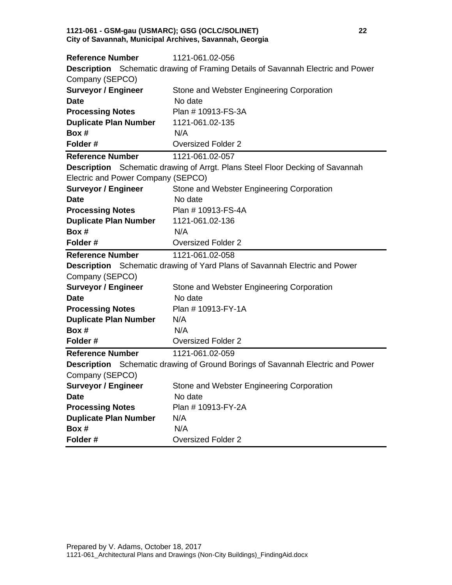#### **1121-061 - GSM-gau (USMARC); GSG (OCLC/SOLINET) 22 City of Savannah, Municipal Archives, Savannah, Georgia**

| <b>Reference Number</b>            | 1121-061.02-056                                                                       |
|------------------------------------|---------------------------------------------------------------------------------------|
|                                    | Description Schematic drawing of Framing Details of Savannah Electric and Power       |
| Company (SEPCO)                    |                                                                                       |
| <b>Surveyor / Engineer</b>         | Stone and Webster Engineering Corporation                                             |
| <b>Date</b>                        | No date                                                                               |
| <b>Processing Notes</b>            | Plan # 10913-FS-3A                                                                    |
| <b>Duplicate Plan Number</b>       | 1121-061.02-135                                                                       |
| Box #                              | N/A                                                                                   |
| Folder#                            | <b>Oversized Folder 2</b>                                                             |
| <b>Reference Number</b>            | 1121-061.02-057                                                                       |
|                                    | <b>Description</b> Schematic drawing of Arrgt. Plans Steel Floor Decking of Savannah  |
| Electric and Power Company (SEPCO) |                                                                                       |
| <b>Surveyor / Engineer</b>         | Stone and Webster Engineering Corporation                                             |
| <b>Date</b>                        | No date                                                                               |
| <b>Processing Notes</b>            | Plan # 10913-FS-4A                                                                    |
| <b>Duplicate Plan Number</b>       | 1121-061.02-136                                                                       |
| Box #                              | N/A                                                                                   |
| Folder#                            | <b>Oversized Folder 2</b>                                                             |
|                                    |                                                                                       |
| <b>Reference Number</b>            | 1121-061.02-058                                                                       |
|                                    | <b>Description</b> Schematic drawing of Yard Plans of Savannah Electric and Power     |
| Company (SEPCO)                    |                                                                                       |
| <b>Surveyor / Engineer</b>         | Stone and Webster Engineering Corporation                                             |
| <b>Date</b>                        | No date                                                                               |
| <b>Processing Notes</b>            | Plan # 10913-FY-1A                                                                    |
| <b>Duplicate Plan Number</b>       | N/A                                                                                   |
| Box #                              | N/A                                                                                   |
| Folder#                            | <b>Oversized Folder 2</b>                                                             |
| <b>Reference Number</b>            | 1121-061.02-059                                                                       |
|                                    | <b>Description</b> Schematic drawing of Ground Borings of Savannah Electric and Power |
| Company (SEPCO)                    |                                                                                       |
| <b>Surveyor / Engineer</b>         | Stone and Webster Engineering Corporation                                             |
| <b>Date</b>                        | No date                                                                               |
| <b>Processing Notes</b>            | Plan # 10913-FY-2A                                                                    |
| <b>Duplicate Plan Number</b>       | N/A                                                                                   |
| Box #<br>Folder#                   | N/A                                                                                   |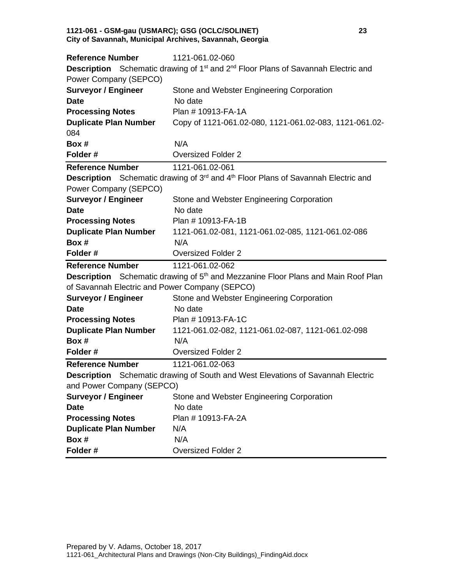#### **1121-061 - GSM-gau (USMARC); GSG (OCLC/SOLINET) 23 City of Savannah, Municipal Archives, Savannah, Georgia**

| <b>Reference Number</b>                        | 1121-061.02-060                                                                                                  |
|------------------------------------------------|------------------------------------------------------------------------------------------------------------------|
|                                                | <b>Description</b> Schematic drawing of 1 <sup>st</sup> and 2 <sup>nd</sup> Floor Plans of Savannah Electric and |
| Power Company (SEPCO)                          |                                                                                                                  |
| <b>Surveyor / Engineer</b>                     | Stone and Webster Engineering Corporation                                                                        |
| <b>Date</b>                                    | No date                                                                                                          |
| <b>Processing Notes</b>                        | Plan # 10913-FA-1A                                                                                               |
| <b>Duplicate Plan Number</b>                   | Copy of 1121-061.02-080, 1121-061.02-083, 1121-061.02-                                                           |
| 084                                            |                                                                                                                  |
| Box #                                          | N/A                                                                                                              |
| Folder#                                        | <b>Oversized Folder 2</b>                                                                                        |
| <b>Reference Number</b>                        | 1121-061.02-061                                                                                                  |
|                                                | <b>Description</b> Schematic drawing of 3 <sup>rd</sup> and 4 <sup>th</sup> Floor Plans of Savannah Electric and |
| Power Company (SEPCO)                          |                                                                                                                  |
| <b>Surveyor / Engineer</b>                     | Stone and Webster Engineering Corporation                                                                        |
| <b>Date</b>                                    | No date                                                                                                          |
| <b>Processing Notes</b>                        | Plan # 10913-FA-1B                                                                                               |
| <b>Duplicate Plan Number</b>                   | 1121-061.02-081, 1121-061.02-085, 1121-061.02-086                                                                |
| Box #                                          | N/A                                                                                                              |
| Folder#                                        | <b>Oversized Folder 2</b>                                                                                        |
|                                                |                                                                                                                  |
| <b>Reference Number</b>                        | 1121-061.02-062                                                                                                  |
|                                                | <b>Description</b> Schematic drawing of 5 <sup>th</sup> and Mezzanine Floor Plans and Main Roof Plan             |
| of Savannah Electric and Power Company (SEPCO) |                                                                                                                  |
| <b>Surveyor / Engineer</b>                     | Stone and Webster Engineering Corporation                                                                        |
| <b>Date</b>                                    | No date                                                                                                          |
| <b>Processing Notes</b>                        | Plan # 10913-FA-1C                                                                                               |
| <b>Duplicate Plan Number</b>                   | 1121-061.02-082, 1121-061.02-087, 1121-061.02-098                                                                |
| Box #                                          | N/A                                                                                                              |
| Folder#                                        | <b>Oversized Folder 2</b>                                                                                        |
| <b>Reference Number</b>                        | 1121-061.02-063                                                                                                  |
|                                                | <b>Description</b> Schematic drawing of South and West Elevations of Savannah Electric                           |
| and Power Company (SEPCO)                      |                                                                                                                  |
| <b>Surveyor / Engineer</b>                     | Stone and Webster Engineering Corporation                                                                        |
| <b>Date</b>                                    | No date                                                                                                          |
| <b>Processing Notes</b>                        | Plan # 10913-FA-2A                                                                                               |
| <b>Duplicate Plan Number</b>                   | N/A                                                                                                              |
| Box #<br>Folder#                               | N/A                                                                                                              |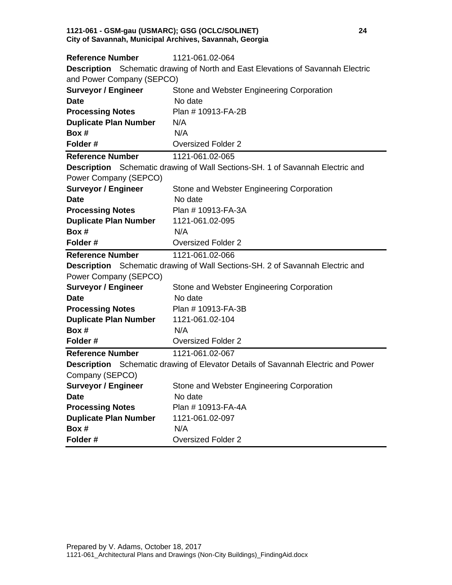#### **1121-061 - GSM-gau (USMARC); GSG (OCLC/SOLINET) 24 City of Savannah, Municipal Archives, Savannah, Georgia**

| <b>Reference Number</b>      | 1121-061.02-064                                                                         |
|------------------------------|-----------------------------------------------------------------------------------------|
|                              | <b>Description</b> Schematic drawing of North and East Elevations of Savannah Electric  |
| and Power Company (SEPCO)    |                                                                                         |
| <b>Surveyor / Engineer</b>   | Stone and Webster Engineering Corporation                                               |
| <b>Date</b>                  | No date                                                                                 |
| <b>Processing Notes</b>      | Plan # 10913-FA-2B                                                                      |
| <b>Duplicate Plan Number</b> | N/A                                                                                     |
| Box #                        | N/A                                                                                     |
| Folder#                      | <b>Oversized Folder 2</b>                                                               |
| <b>Reference Number</b>      | 1121-061.02-065                                                                         |
|                              | <b>Description</b> Schematic drawing of Wall Sections-SH. 1 of Savannah Electric and    |
| Power Company (SEPCO)        |                                                                                         |
| <b>Surveyor / Engineer</b>   | Stone and Webster Engineering Corporation                                               |
| <b>Date</b>                  | No date                                                                                 |
| <b>Processing Notes</b>      | Plan # 10913-FA-3A                                                                      |
| <b>Duplicate Plan Number</b> | 1121-061.02-095                                                                         |
| Box #                        | N/A                                                                                     |
| Folder#                      | <b>Oversized Folder 2</b>                                                               |
|                              |                                                                                         |
| <b>Reference Number</b>      | 1121-061.02-066                                                                         |
|                              | <b>Description</b> Schematic drawing of Wall Sections-SH. 2 of Savannah Electric and    |
| Power Company (SEPCO)        |                                                                                         |
| <b>Surveyor / Engineer</b>   | Stone and Webster Engineering Corporation                                               |
| <b>Date</b>                  | No date                                                                                 |
| <b>Processing Notes</b>      | Plan # 10913-FA-3B                                                                      |
| <b>Duplicate Plan Number</b> | 1121-061.02-104                                                                         |
| Box #                        | N/A                                                                                     |
| Folder#                      | <b>Oversized Folder 2</b>                                                               |
| <b>Reference Number</b>      | 1121-061.02-067                                                                         |
|                              | <b>Description</b> Schematic drawing of Elevator Details of Savannah Electric and Power |
| Company (SEPCO)              |                                                                                         |
| <b>Surveyor / Engineer</b>   | Stone and Webster Engineering Corporation                                               |
| <b>Date</b>                  | No date                                                                                 |
| <b>Processing Notes</b>      | Plan # 10913-FA-4A                                                                      |
| <b>Duplicate Plan Number</b> | 1121-061.02-097                                                                         |
| Box #<br>Folder#             | N/A                                                                                     |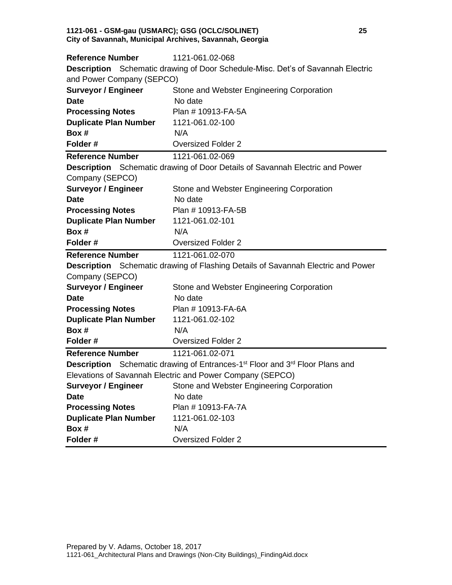#### **1121-061 - GSM-gau (USMARC); GSG (OCLC/SOLINET) 25 City of Savannah, Municipal Archives, Savannah, Georgia**

| <b>Reference Number</b>      | 1121-061.02-068                                                                                             |
|------------------------------|-------------------------------------------------------------------------------------------------------------|
|                              | <b>Description</b> Schematic drawing of Door Schedule-Misc. Det's of Savannah Electric                      |
| and Power Company (SEPCO)    |                                                                                                             |
| <b>Surveyor / Engineer</b>   | Stone and Webster Engineering Corporation                                                                   |
| <b>Date</b>                  | No date                                                                                                     |
| <b>Processing Notes</b>      | Plan # 10913-FA-5A                                                                                          |
| <b>Duplicate Plan Number</b> | 1121-061.02-100                                                                                             |
| Box #                        | N/A                                                                                                         |
| Folder#                      | <b>Oversized Folder 2</b>                                                                                   |
| <b>Reference Number</b>      | 1121-061.02-069                                                                                             |
|                              | <b>Description</b> Schematic drawing of Door Details of Savannah Electric and Power                         |
| Company (SEPCO)              |                                                                                                             |
| <b>Surveyor / Engineer</b>   | Stone and Webster Engineering Corporation                                                                   |
| <b>Date</b>                  | No date                                                                                                     |
| <b>Processing Notes</b>      | Plan # 10913-FA-5B                                                                                          |
| <b>Duplicate Plan Number</b> | 1121-061.02-101                                                                                             |
| Box #                        | N/A                                                                                                         |
| Folder#                      | <b>Oversized Folder 2</b>                                                                                   |
|                              |                                                                                                             |
| <b>Reference Number</b>      | 1121-061.02-070                                                                                             |
|                              | <b>Description</b> Schematic drawing of Flashing Details of Savannah Electric and Power                     |
| Company (SEPCO)              |                                                                                                             |
| <b>Surveyor / Engineer</b>   | Stone and Webster Engineering Corporation                                                                   |
| <b>Date</b>                  | No date                                                                                                     |
| <b>Processing Notes</b>      | Plan # 10913-FA-6A                                                                                          |
| <b>Duplicate Plan Number</b> | 1121-061.02-102                                                                                             |
| Box #                        | N/A                                                                                                         |
| Folder#                      | <b>Oversized Folder 2</b>                                                                                   |
| <b>Reference Number</b>      | 1121-061.02-071                                                                                             |
|                              | <b>Description</b> Schematic drawing of Entrances-1 <sup>st</sup> Floor and 3 <sup>rd</sup> Floor Plans and |
|                              | Elevations of Savannah Electric and Power Company (SEPCO)                                                   |
|                              | <b>Surveyor / Engineer</b> Stone and Webster Engineering Corporation                                        |
| <b>Date</b>                  | No date                                                                                                     |
| <b>Processing Notes</b>      | Plan # 10913-FA-7A                                                                                          |
| <b>Duplicate Plan Number</b> | 1121-061.02-103                                                                                             |
| Box #<br>Folder#             | N/A<br><b>Oversized Folder 2</b>                                                                            |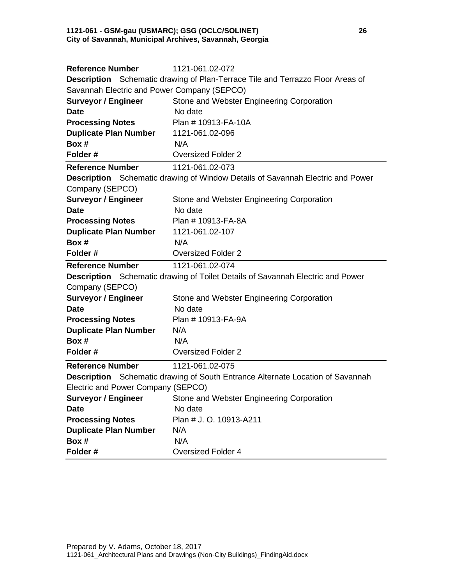#### **1121-061 - GSM-gau (USMARC); GSG (OCLC/SOLINET) 26 City of Savannah, Municipal Archives, Savannah, Georgia**

| <b>Reference Number</b>                                          | 1121-061.02-072                                                                       |
|------------------------------------------------------------------|---------------------------------------------------------------------------------------|
|                                                                  | <b>Description</b> Schematic drawing of Plan-Terrace Tile and Terrazzo Floor Areas of |
| Savannah Electric and Power Company (SEPCO)                      |                                                                                       |
| <b>Surveyor / Engineer</b>                                       | Stone and Webster Engineering Corporation                                             |
| <b>Date</b>                                                      | No date                                                                               |
| <b>Processing Notes</b>                                          | Plan #10913-FA-10A                                                                    |
| <b>Duplicate Plan Number</b>                                     | 1121-061.02-096                                                                       |
| Box #                                                            | N/A                                                                                   |
| Folder#                                                          | <b>Oversized Folder 2</b>                                                             |
| <b>Reference Number</b>                                          | 1121-061.02-073                                                                       |
|                                                                  | <b>Description</b> Schematic drawing of Window Details of Savannah Electric and Power |
| Company (SEPCO)                                                  |                                                                                       |
| <b>Surveyor / Engineer</b>                                       | Stone and Webster Engineering Corporation                                             |
| <b>Date</b>                                                      | No date                                                                               |
| <b>Processing Notes</b>                                          | Plan # 10913-FA-8A                                                                    |
| <b>Duplicate Plan Number</b>                                     | 1121-061.02-107                                                                       |
| Box #                                                            | N/A                                                                                   |
| Folder#                                                          | <b>Oversized Folder 2</b>                                                             |
| <b>Reference Number</b>                                          | 1121-061.02-074                                                                       |
|                                                                  | <b>Description</b> Schematic drawing of Toilet Details of Savannah Electric and Power |
| Company (SEPCO)                                                  |                                                                                       |
| <b>Surveyor / Engineer</b>                                       | Stone and Webster Engineering Corporation                                             |
| <b>Date</b>                                                      | No date                                                                               |
| <b>Processing Notes</b>                                          | Plan # 10913-FA-9A                                                                    |
| <b>Duplicate Plan Number</b>                                     | N/A                                                                                   |
| Box #                                                            | N/A                                                                                   |
| Folder#                                                          | <b>Oversized Folder 2</b>                                                             |
| <b>Reference Number</b>                                          | 1121-061.02-075                                                                       |
|                                                                  | <b>Description</b> Schematic drawing of South Entrance Alternate Location of Savannah |
| Electric and Power Company (SEPCO)                               |                                                                                       |
| <b>Surveyor / Engineer</b>                                       | Stone and Webster Engineering Corporation                                             |
|                                                                  |                                                                                       |
| <b>Date</b>                                                      | No date                                                                               |
|                                                                  | Plan # J. O. 10913-A211                                                               |
|                                                                  | N/A                                                                                   |
| <b>Processing Notes</b><br><b>Duplicate Plan Number</b><br>Box # | N/A                                                                                   |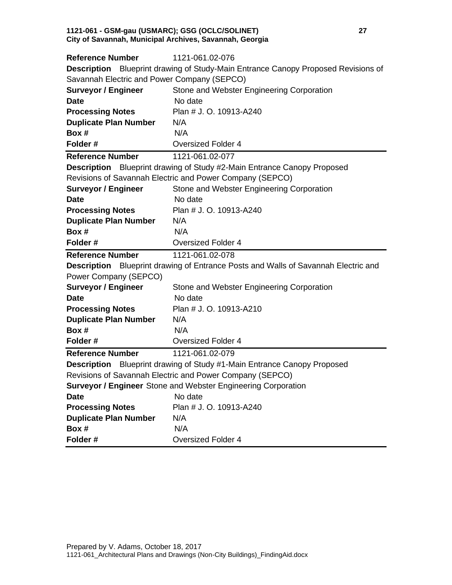#### **1121-061 - GSM-gau (USMARC); GSG (OCLC/SOLINET) 27 City of Savannah, Municipal Archives, Savannah, Georgia**

| <b>Reference Number</b>                     | 1121-061.02-076                                                                           |
|---------------------------------------------|-------------------------------------------------------------------------------------------|
|                                             | <b>Description</b> Blueprint drawing of Study-Main Entrance Canopy Proposed Revisions of  |
| Savannah Electric and Power Company (SEPCO) |                                                                                           |
| <b>Surveyor / Engineer</b>                  | Stone and Webster Engineering Corporation                                                 |
| <b>Date</b>                                 | No date                                                                                   |
| <b>Processing Notes</b>                     | Plan # J. O. 10913-A240                                                                   |
| <b>Duplicate Plan Number</b>                | N/A                                                                                       |
| Box #                                       | N/A                                                                                       |
| Folder#                                     | <b>Oversized Folder 4</b>                                                                 |
| <b>Reference Number</b>                     | 1121-061.02-077                                                                           |
|                                             | Description Blueprint drawing of Study #2-Main Entrance Canopy Proposed                   |
|                                             | Revisions of Savannah Electric and Power Company (SEPCO)                                  |
| <b>Surveyor / Engineer</b>                  | Stone and Webster Engineering Corporation                                                 |
| <b>Date</b>                                 | No date                                                                                   |
| <b>Processing Notes</b>                     | Plan # J. O. 10913-A240                                                                   |
| <b>Duplicate Plan Number</b>                | N/A                                                                                       |
| Box #                                       | N/A                                                                                       |
| Folder#                                     | <b>Oversized Folder 4</b>                                                                 |
|                                             |                                                                                           |
| <b>Reference Number</b>                     | 1121-061.02-078                                                                           |
|                                             | <b>Description</b> Blueprint drawing of Entrance Posts and Walls of Savannah Electric and |
| Power Company (SEPCO)                       |                                                                                           |
| <b>Surveyor / Engineer</b>                  | Stone and Webster Engineering Corporation                                                 |
| <b>Date</b>                                 | No date                                                                                   |
| <b>Processing Notes</b>                     | Plan # J. O. 10913-A210                                                                   |
| <b>Duplicate Plan Number</b>                | N/A                                                                                       |
| Box #                                       | N/A                                                                                       |
| Folder#                                     | <b>Oversized Folder 4</b>                                                                 |
| <b>Reference Number</b>                     | 1121-061.02-079                                                                           |
|                                             | <b>Description</b> Blueprint drawing of Study #1-Main Entrance Canopy Proposed            |
|                                             | Revisions of Savannah Electric and Power Company (SEPCO)                                  |
|                                             | <b>Surveyor / Engineer</b> Stone and Webster Engineering Corporation                      |
| <b>Date</b>                                 | No date                                                                                   |
| <b>Processing Notes</b>                     | Plan # J. O. 10913-A240                                                                   |
| <b>Duplicate Plan Number</b>                | N/A                                                                                       |
| Box #<br>Folder#                            | N/A<br><b>Oversized Folder 4</b>                                                          |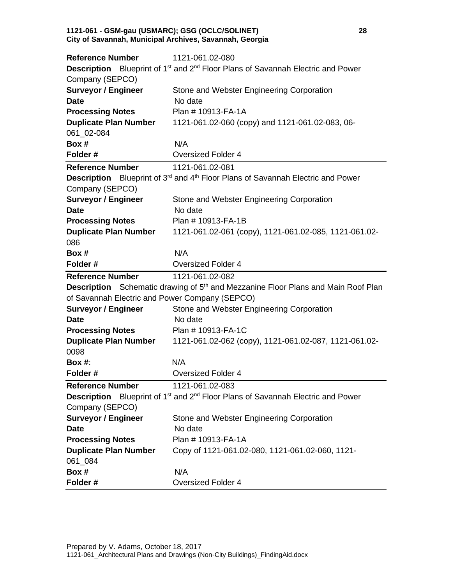#### **1121-061 - GSM-gau (USMARC); GSG (OCLC/SOLINET) 28 City of Savannah, Municipal Archives, Savannah, Georgia**

| <b>Reference Number</b>                        | 1121-061.02-080                                                                                                |
|------------------------------------------------|----------------------------------------------------------------------------------------------------------------|
|                                                | <b>Description</b> Blueprint of 1 <sup>st</sup> and 2 <sup>nd</sup> Floor Plans of Savannah Electric and Power |
| Company (SEPCO)                                |                                                                                                                |
| <b>Surveyor / Engineer</b>                     | Stone and Webster Engineering Corporation                                                                      |
| <b>Date</b>                                    | No date                                                                                                        |
| <b>Processing Notes</b>                        | Plan # 10913-FA-1A                                                                                             |
| <b>Duplicate Plan Number</b>                   | 1121-061.02-060 (copy) and 1121-061.02-083, 06-                                                                |
| 061 02-084                                     |                                                                                                                |
| Box #                                          | N/A                                                                                                            |
| Folder#                                        | <b>Oversized Folder 4</b>                                                                                      |
| <b>Reference Number</b>                        | 1121-061.02-081                                                                                                |
|                                                | Description Blueprint of 3 <sup>rd</sup> and 4 <sup>th</sup> Floor Plans of Savannah Electric and Power        |
| Company (SEPCO)                                |                                                                                                                |
| <b>Surveyor / Engineer</b>                     | Stone and Webster Engineering Corporation                                                                      |
| <b>Date</b>                                    | No date                                                                                                        |
| <b>Processing Notes</b>                        | Plan #10913-FA-1B                                                                                              |
| <b>Duplicate Plan Number</b>                   | 1121-061.02-061 (copy), 1121-061.02-085, 1121-061.02-                                                          |
| 086                                            |                                                                                                                |
| Box #                                          | N/A                                                                                                            |
| Folder#                                        | <b>Oversized Folder 4</b>                                                                                      |
|                                                |                                                                                                                |
| <b>Reference Number</b>                        | 1121-061.02-082                                                                                                |
|                                                | Description Schematic drawing of 5 <sup>th</sup> and Mezzanine Floor Plans and Main Roof Plan                  |
| of Savannah Electric and Power Company (SEPCO) |                                                                                                                |
| <b>Surveyor / Engineer</b>                     | Stone and Webster Engineering Corporation                                                                      |
| <b>Date</b>                                    | No date                                                                                                        |
| <b>Processing Notes</b>                        | Plan # 10913-FA-1C                                                                                             |
| <b>Duplicate Plan Number</b>                   | 1121-061.02-062 (copy), 1121-061.02-087, 1121-061.02-                                                          |
| 0098                                           |                                                                                                                |
| Box #:                                         | N/A                                                                                                            |
| Folder#                                        | <b>Oversized Folder 4</b>                                                                                      |
| <b>Reference Number</b>                        | 1121-061.02-083                                                                                                |
|                                                | <b>Description</b> Blueprint of 1 <sup>st</sup> and 2 <sup>nd</sup> Floor Plans of Savannah Electric and Power |
| Company (SEPCO)                                |                                                                                                                |
| <b>Surveyor / Engineer</b>                     | Stone and Webster Engineering Corporation                                                                      |
| <b>Date</b>                                    | No date                                                                                                        |
| <b>Processing Notes</b>                        | Plan # 10913-FA-1A                                                                                             |
| <b>Duplicate Plan Number</b>                   | Copy of 1121-061.02-080, 1121-061.02-060, 1121-                                                                |
| 061_084                                        |                                                                                                                |
| Box #                                          | N/A                                                                                                            |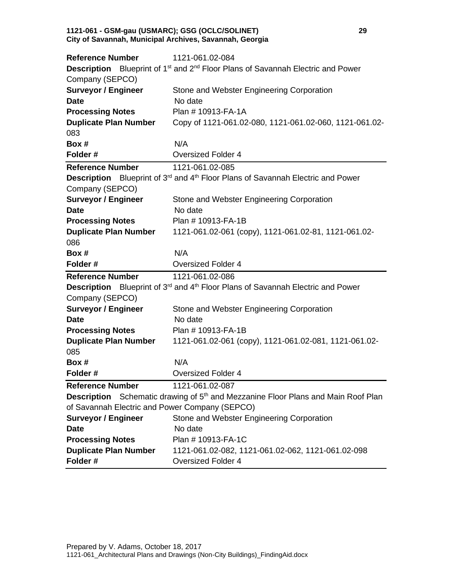#### **1121-061 - GSM-gau (USMARC); GSG (OCLC/SOLINET) 29 City of Savannah, Municipal Archives, Savannah, Georgia**

| <b>Reference Number</b>                        | 1121-061.02-084                                                                                                |
|------------------------------------------------|----------------------------------------------------------------------------------------------------------------|
|                                                | <b>Description</b> Blueprint of 1 <sup>st</sup> and 2 <sup>nd</sup> Floor Plans of Savannah Electric and Power |
| Company (SEPCO)                                |                                                                                                                |
| <b>Surveyor / Engineer</b>                     | Stone and Webster Engineering Corporation                                                                      |
| <b>Date</b>                                    | No date                                                                                                        |
| <b>Processing Notes</b>                        | Plan # 10913-FA-1A                                                                                             |
| <b>Duplicate Plan Number</b>                   | Copy of 1121-061.02-080, 1121-061.02-060, 1121-061.02-                                                         |
| 083                                            |                                                                                                                |
| Box #                                          | N/A                                                                                                            |
| Folder#                                        | <b>Oversized Folder 4</b>                                                                                      |
| <b>Reference Number</b>                        | 1121-061.02-085                                                                                                |
|                                                | Description Blueprint of 3 <sup>rd</sup> and 4 <sup>th</sup> Floor Plans of Savannah Electric and Power        |
| Company (SEPCO)                                |                                                                                                                |
| <b>Surveyor / Engineer</b>                     | Stone and Webster Engineering Corporation                                                                      |
| <b>Date</b>                                    | No date                                                                                                        |
| <b>Processing Notes</b>                        | Plan # 10913-FA-1B                                                                                             |
| <b>Duplicate Plan Number</b>                   | 1121-061.02-061 (copy), 1121-061.02-81, 1121-061.02-                                                           |
| 086                                            |                                                                                                                |
| Box #                                          | N/A                                                                                                            |
| Folder#                                        | <b>Oversized Folder 4</b>                                                                                      |
|                                                |                                                                                                                |
| <b>Reference Number</b>                        | 1121-061.02-086                                                                                                |
|                                                | Description Blueprint of 3 <sup>rd</sup> and 4 <sup>th</sup> Floor Plans of Savannah Electric and Power        |
| Company (SEPCO)                                |                                                                                                                |
| <b>Surveyor / Engineer</b>                     | Stone and Webster Engineering Corporation                                                                      |
| <b>Date</b>                                    | No date                                                                                                        |
| <b>Processing Notes</b>                        | Plan #10913-FA-1B                                                                                              |
| <b>Duplicate Plan Number</b>                   | 1121-061.02-061 (copy), 1121-061.02-081, 1121-061.02-                                                          |
| 085                                            |                                                                                                                |
| Box #                                          | N/A                                                                                                            |
| Folder#                                        | <b>Oversized Folder 4</b>                                                                                      |
| <b>Reference Number</b>                        | 1121-061.02-087                                                                                                |
|                                                | <b>Description</b> Schematic drawing of 5 <sup>th</sup> and Mezzanine Floor Plans and Main Roof Plan           |
| of Savannah Electric and Power Company (SEPCO) |                                                                                                                |
| <b>Surveyor / Engineer</b>                     | Stone and Webster Engineering Corporation                                                                      |
| <b>Date</b>                                    | No date                                                                                                        |
| <b>Processing Notes</b>                        | Plan # 10913-FA-1C                                                                                             |
| <b>Duplicate Plan Number</b><br>Folder#        | 1121-061.02-082, 1121-061.02-062, 1121-061.02-098<br><b>Oversized Folder 4</b>                                 |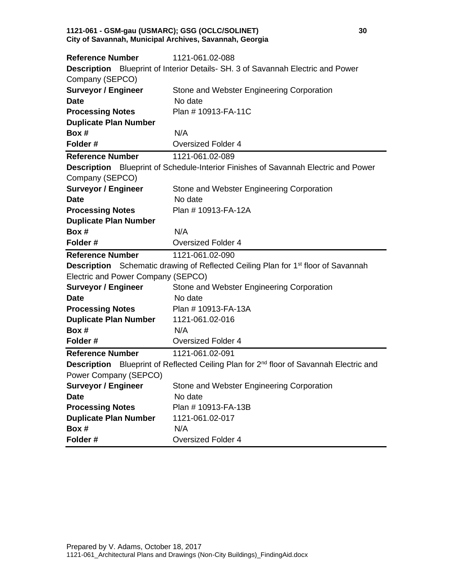#### **1121-061 - GSM-gau (USMARC); GSG (OCLC/SOLINET) 30 City of Savannah, Municipal Archives, Savannah, Georgia**

| <b>Reference Number</b>                                 | 1121-061.02-088                                                                                           |
|---------------------------------------------------------|-----------------------------------------------------------------------------------------------------------|
|                                                         | <b>Description</b> Blueprint of Interior Details- SH. 3 of Savannah Electric and Power                    |
| Company (SEPCO)                                         |                                                                                                           |
| <b>Surveyor / Engineer</b>                              | Stone and Webster Engineering Corporation                                                                 |
| <b>Date</b>                                             | No date                                                                                                   |
| <b>Processing Notes</b>                                 | Plan # 10913-FA-11C                                                                                       |
| <b>Duplicate Plan Number</b>                            |                                                                                                           |
| Box #                                                   | N/A                                                                                                       |
| Folder#                                                 | <b>Oversized Folder 4</b>                                                                                 |
| <b>Reference Number</b>                                 | 1121-061.02-089                                                                                           |
|                                                         | <b>Description</b> Blueprint of Schedule-Interior Finishes of Savannah Electric and Power                 |
| Company (SEPCO)                                         |                                                                                                           |
| <b>Surveyor / Engineer</b>                              | Stone and Webster Engineering Corporation                                                                 |
| <b>Date</b>                                             | No date                                                                                                   |
| <b>Processing Notes</b>                                 | Plan # 10913-FA-12A                                                                                       |
| <b>Duplicate Plan Number</b>                            |                                                                                                           |
| Box #                                                   | N/A                                                                                                       |
| Folder#                                                 | <b>Oversized Folder 4</b>                                                                                 |
|                                                         |                                                                                                           |
| <b>Reference Number</b>                                 | 1121-061.02-090                                                                                           |
|                                                         | <b>Description</b> Schematic drawing of Reflected Ceiling Plan for 1 <sup>st</sup> floor of Savannah      |
| Electric and Power Company (SEPCO)                      |                                                                                                           |
| <b>Surveyor / Engineer</b>                              | Stone and Webster Engineering Corporation                                                                 |
| <b>Date</b>                                             | No date                                                                                                   |
|                                                         | Plan #10913-FA-13A                                                                                        |
| <b>Processing Notes</b><br><b>Duplicate Plan Number</b> | 1121-061.02-016                                                                                           |
| Box #                                                   | N/A                                                                                                       |
| Folder#                                                 | <b>Oversized Folder 4</b>                                                                                 |
| <b>Reference Number</b>                                 | 1121-061.02-091                                                                                           |
|                                                         | <b>Description</b> Blueprint of Reflected Ceiling Plan for 2 <sup>nd</sup> floor of Savannah Electric and |
| Power Company (SEPCO)                                   |                                                                                                           |
| <b>Surveyor / Engineer</b>                              | Stone and Webster Engineering Corporation                                                                 |
| <b>Date</b>                                             | No date                                                                                                   |
| <b>Processing Notes</b>                                 | Plan # 10913-FA-13B                                                                                       |
| <b>Duplicate Plan Number</b>                            | 1121-061.02-017                                                                                           |
| Box #<br>Folder#                                        | N/A<br><b>Oversized Folder 4</b>                                                                          |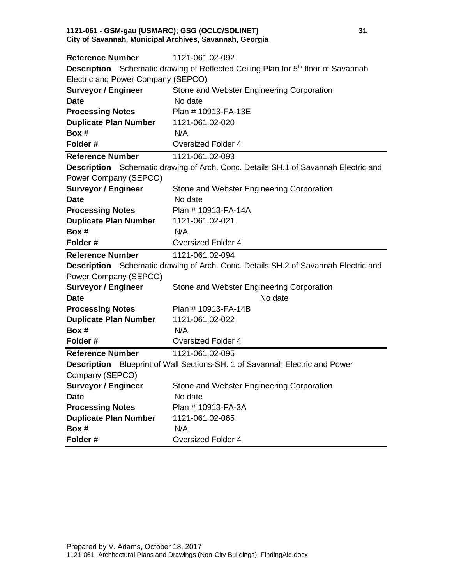#### **1121-061 - GSM-gau (USMARC); GSG (OCLC/SOLINET) 31 City of Savannah, Municipal Archives, Savannah, Georgia**

| <b>Reference Number</b>            | 1121-061.02-092                                                                                      |
|------------------------------------|------------------------------------------------------------------------------------------------------|
|                                    | <b>Description</b> Schematic drawing of Reflected Ceiling Plan for 5 <sup>th</sup> floor of Savannah |
| Electric and Power Company (SEPCO) |                                                                                                      |
| <b>Surveyor / Engineer</b>         | Stone and Webster Engineering Corporation                                                            |
| <b>Date</b>                        | No date                                                                                              |
| <b>Processing Notes</b>            | Plan # 10913-FA-13E                                                                                  |
| <b>Duplicate Plan Number</b>       | 1121-061.02-020                                                                                      |
| Box #                              | N/A                                                                                                  |
| Folder#                            | <b>Oversized Folder 4</b>                                                                            |
| <b>Reference Number</b>            | 1121-061.02-093                                                                                      |
|                                    | Description Schematic drawing of Arch. Conc. Details SH.1 of Savannah Electric and                   |
| Power Company (SEPCO)              |                                                                                                      |
| <b>Surveyor / Engineer</b>         | Stone and Webster Engineering Corporation                                                            |
| <b>Date</b>                        | No date                                                                                              |
| <b>Processing Notes</b>            | Plan # 10913-FA-14A                                                                                  |
| <b>Duplicate Plan Number</b>       | 1121-061.02-021                                                                                      |
| Box #                              | N/A                                                                                                  |
| Folder#                            | <b>Oversized Folder 4</b>                                                                            |
|                                    |                                                                                                      |
| <b>Reference Number</b>            | 1121-061.02-094                                                                                      |
|                                    | <b>Description</b> Schematic drawing of Arch. Conc. Details SH.2 of Savannah Electric and            |
| Power Company (SEPCO)              |                                                                                                      |
| <b>Surveyor / Engineer</b>         | Stone and Webster Engineering Corporation                                                            |
| <b>Date</b>                        | No date                                                                                              |
| <b>Processing Notes</b>            | Plan #10913-FA-14B                                                                                   |
| <b>Duplicate Plan Number</b>       | 1121-061.02-022                                                                                      |
| Box #                              | N/A                                                                                                  |
| Folder#                            | <b>Oversized Folder 4</b>                                                                            |
| <b>Reference Number</b>            | 1121-061.02-095                                                                                      |
|                                    | <b>Description</b> Blueprint of Wall Sections-SH. 1 of Savannah Electric and Power                   |
| Company (SEPCO)                    |                                                                                                      |
| <b>Surveyor / Engineer</b>         | Stone and Webster Engineering Corporation                                                            |
| <b>Date</b>                        | No date                                                                                              |
| <b>Processing Notes</b>            | Plan # 10913-FA-3A                                                                                   |
| <b>Duplicate Plan Number</b>       | 1121-061.02-065                                                                                      |
| Box #                              | N/A                                                                                                  |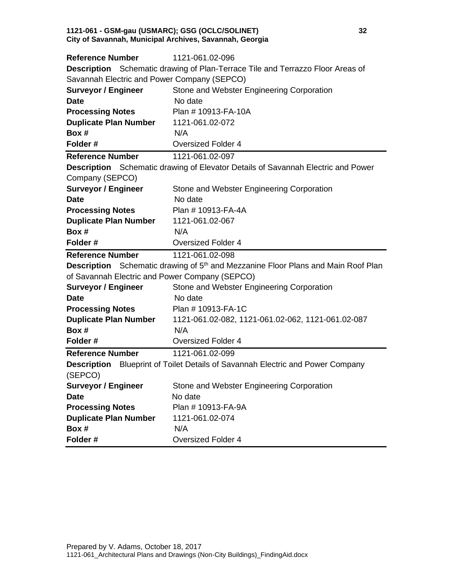#### **1121-061 - GSM-gau (USMARC); GSG (OCLC/SOLINET) 32 City of Savannah, Municipal Archives, Savannah, Georgia**

| <b>Reference Number</b>                        | 1121-061.02-096                                                                                      |
|------------------------------------------------|------------------------------------------------------------------------------------------------------|
|                                                | <b>Description</b> Schematic drawing of Plan-Terrace Tile and Terrazzo Floor Areas of                |
| Savannah Electric and Power Company (SEPCO)    |                                                                                                      |
| <b>Surveyor / Engineer</b>                     | Stone and Webster Engineering Corporation                                                            |
| <b>Date</b>                                    | No date                                                                                              |
| <b>Processing Notes</b>                        | Plan #10913-FA-10A                                                                                   |
| <b>Duplicate Plan Number</b>                   | 1121-061.02-072                                                                                      |
| Box #                                          | N/A                                                                                                  |
| Folder#                                        | <b>Oversized Folder 4</b>                                                                            |
| <b>Reference Number</b>                        | 1121-061.02-097                                                                                      |
|                                                | <b>Description</b> Schematic drawing of Elevator Details of Savannah Electric and Power              |
| Company (SEPCO)                                |                                                                                                      |
| <b>Surveyor / Engineer</b>                     | Stone and Webster Engineering Corporation                                                            |
| <b>Date</b>                                    | No date                                                                                              |
| <b>Processing Notes</b>                        | Plan # 10913-FA-4A                                                                                   |
| <b>Duplicate Plan Number</b>                   | 1121-061.02-067                                                                                      |
| Box #                                          | N/A                                                                                                  |
| Folder#                                        | <b>Oversized Folder 4</b>                                                                            |
|                                                |                                                                                                      |
| <b>Reference Number</b>                        | 1121-061.02-098                                                                                      |
|                                                | <b>Description</b> Schematic drawing of 5 <sup>th</sup> and Mezzanine Floor Plans and Main Roof Plan |
| of Savannah Electric and Power Company (SEPCO) |                                                                                                      |
| <b>Surveyor / Engineer</b>                     | Stone and Webster Engineering Corporation                                                            |
| <b>Date</b>                                    | No date                                                                                              |
| <b>Processing Notes</b>                        | Plan # 10913-FA-1C                                                                                   |
| <b>Duplicate Plan Number</b>                   | 1121-061.02-082, 1121-061.02-062, 1121-061.02-087                                                    |
| Box #                                          | N/A                                                                                                  |
| Folder#                                        | <b>Oversized Folder 4</b>                                                                            |
| <b>Reference Number</b>                        | 1121-061.02-099                                                                                      |
|                                                | Description Blueprint of Toilet Details of Savannah Electric and Power Company                       |
| (SEPCO)                                        |                                                                                                      |
| <b>Surveyor / Engineer</b>                     | Stone and Webster Engineering Corporation                                                            |
| <b>Date</b>                                    | No date                                                                                              |
| <b>Processing Notes</b>                        | Plan # 10913-FA-9A                                                                                   |
| <b>Duplicate Plan Number</b>                   | 1121-061.02-074                                                                                      |
| Box #                                          | N/A                                                                                                  |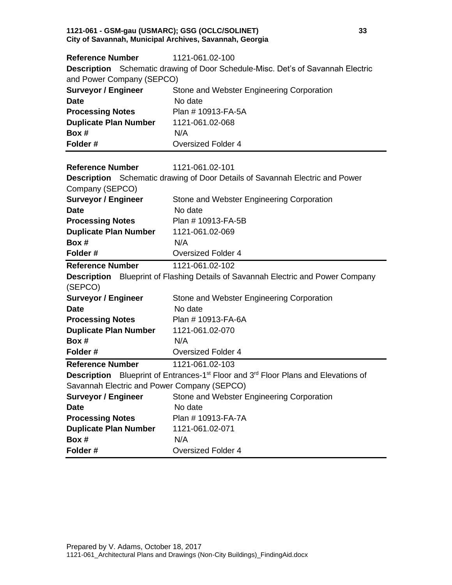#### **1121-061 - GSM-gau (USMARC); GSG (OCLC/SOLINET) 33 City of Savannah, Municipal Archives, Savannah, Georgia**

| <b>Reference Number</b>                     | 1121-061.02-100                                                                                            |
|---------------------------------------------|------------------------------------------------------------------------------------------------------------|
|                                             | <b>Description</b> Schematic drawing of Door Schedule-Misc. Det's of Savannah Electric                     |
| and Power Company (SEPCO)                   |                                                                                                            |
| <b>Surveyor / Engineer</b>                  | Stone and Webster Engineering Corporation                                                                  |
| <b>Date</b>                                 | No date                                                                                                    |
| <b>Processing Notes</b>                     | Plan # 10913-FA-5A                                                                                         |
| <b>Duplicate Plan Number</b>                | 1121-061.02-068                                                                                            |
| Box #                                       | N/A                                                                                                        |
| Folder#                                     | <b>Oversized Folder 4</b>                                                                                  |
|                                             |                                                                                                            |
| <b>Reference Number</b>                     | 1121-061.02-101                                                                                            |
|                                             | <b>Description</b> Schematic drawing of Door Details of Savannah Electric and Power                        |
| Company (SEPCO)                             |                                                                                                            |
| <b>Surveyor / Engineer</b>                  | Stone and Webster Engineering Corporation                                                                  |
| <b>Date</b>                                 | No date                                                                                                    |
| <b>Processing Notes</b>                     | Plan # 10913-FA-5B                                                                                         |
| <b>Duplicate Plan Number</b>                | 1121-061.02-069                                                                                            |
| Box #                                       | N/A                                                                                                        |
| Folder#                                     | <b>Oversized Folder 4</b>                                                                                  |
|                                             |                                                                                                            |
| <b>Reference Number</b>                     | 1121-061.02-102                                                                                            |
| (SEPCO)                                     | <b>Description</b> Blueprint of Flashing Details of Savannah Electric and Power Company                    |
| <b>Surveyor / Engineer</b>                  | Stone and Webster Engineering Corporation                                                                  |
| <b>Date</b>                                 | No date                                                                                                    |
|                                             | Plan # 10913-FA-6A                                                                                         |
| <b>Duplicate Plan Number</b>                | 1121-061.02-070                                                                                            |
|                                             | N/A                                                                                                        |
| <b>Processing Notes</b><br>Box #<br>Folder# | <b>Oversized Folder 4</b>                                                                                  |
| <b>Reference Number</b>                     | 1121-061.02-103                                                                                            |
|                                             | Description Blueprint of Entrances-1 <sup>st</sup> Floor and 3 <sup>rd</sup> Floor Plans and Elevations of |
| Savannah Electric and Power Company (SEPCO) |                                                                                                            |
| <b>Surveyor / Engineer</b>                  | Stone and Webster Engineering Corporation                                                                  |
| <b>Date</b>                                 | No date                                                                                                    |
| <b>Processing Notes</b>                     | Plan # 10913-FA-7A                                                                                         |
| <b>Duplicate Plan Number</b>                | 1121-061.02-071                                                                                            |
| Box #                                       | N/A                                                                                                        |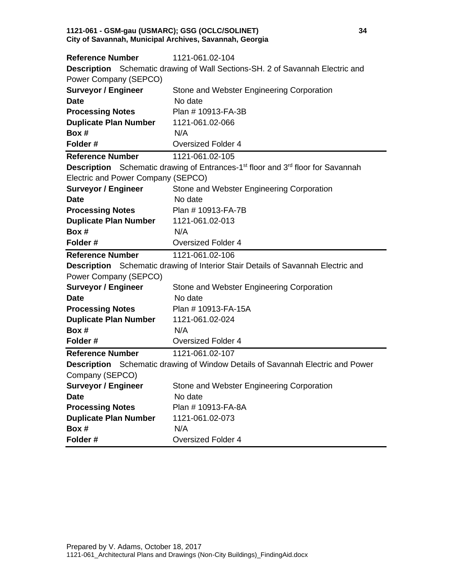#### **1121-061 - GSM-gau (USMARC); GSG (OCLC/SOLINET) 34 City of Savannah, Municipal Archives, Savannah, Georgia**

| <b>Reference Number</b>                                      | 1121-061.02-104                                                                                                |
|--------------------------------------------------------------|----------------------------------------------------------------------------------------------------------------|
|                                                              | <b>Description</b> Schematic drawing of Wall Sections-SH. 2 of Savannah Electric and                           |
| Power Company (SEPCO)                                        |                                                                                                                |
| <b>Surveyor / Engineer</b>                                   | Stone and Webster Engineering Corporation                                                                      |
| <b>Date</b>                                                  | No date                                                                                                        |
| <b>Processing Notes</b>                                      | Plan # 10913-FA-3B                                                                                             |
| <b>Duplicate Plan Number</b>                                 | 1121-061.02-066                                                                                                |
| Box #                                                        | N/A                                                                                                            |
| Folder#                                                      | <b>Oversized Folder 4</b>                                                                                      |
| <b>Reference Number</b>                                      | 1121-061.02-105                                                                                                |
|                                                              | <b>Description</b> Schematic drawing of Entrances-1 <sup>st</sup> floor and 3 <sup>rd</sup> floor for Savannah |
| Electric and Power Company (SEPCO)                           |                                                                                                                |
| <b>Surveyor / Engineer</b>                                   | Stone and Webster Engineering Corporation                                                                      |
| <b>Date</b>                                                  | No date                                                                                                        |
| <b>Processing Notes</b>                                      | Plan # 10913-FA-7B                                                                                             |
| <b>Duplicate Plan Number</b>                                 | 1121-061.02-013                                                                                                |
| Box #                                                        | N/A                                                                                                            |
| Folder#                                                      | <b>Oversized Folder 4</b>                                                                                      |
|                                                              |                                                                                                                |
| <b>Reference Number</b>                                      | 1121-061.02-106                                                                                                |
|                                                              | Description Schematic drawing of Interior Stair Details of Savannah Electric and                               |
| Power Company (SEPCO)                                        |                                                                                                                |
| <b>Surveyor / Engineer</b>                                   | Stone and Webster Engineering Corporation                                                                      |
| <b>Date</b>                                                  | No date                                                                                                        |
| <b>Processing Notes</b>                                      | Plan #10913-FA-15A                                                                                             |
| <b>Duplicate Plan Number</b>                                 | 1121-061.02-024                                                                                                |
| Box #                                                        | N/A                                                                                                            |
| Folder#                                                      | <b>Oversized Folder 4</b>                                                                                      |
| <b>Reference Number</b>                                      | 1121-061.02-107                                                                                                |
|                                                              | <b>Description</b> Schematic drawing of Window Details of Savannah Electric and Power                          |
|                                                              |                                                                                                                |
|                                                              | Stone and Webster Engineering Corporation                                                                      |
| Company (SEPCO)<br><b>Surveyor / Engineer</b><br><b>Date</b> | No date                                                                                                        |
| <b>Processing Notes</b>                                      | Plan # 10913-FA-8A                                                                                             |
| <b>Duplicate Plan Number</b>                                 | 1121-061.02-073                                                                                                |
| Box #<br>Folder#                                             | N/A<br><b>Oversized Folder 4</b>                                                                               |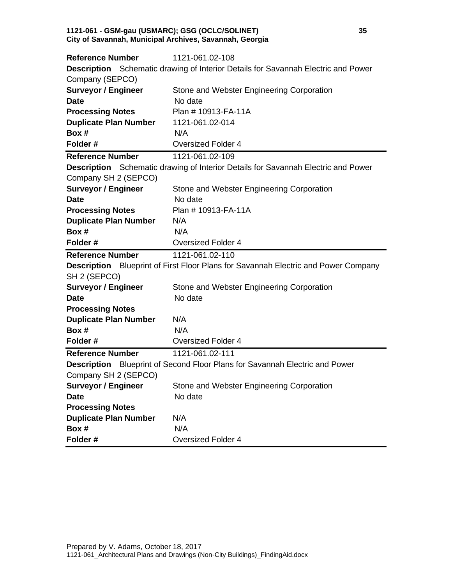#### **1121-061 - GSM-gau (USMARC); GSG (OCLC/SOLINET) 35 City of Savannah, Municipal Archives, Savannah, Georgia**

| <b>Reference Number</b>                                                                  | 1121-061.02-108                                                                          |  |
|------------------------------------------------------------------------------------------|------------------------------------------------------------------------------------------|--|
| <b>Description</b> Schematic drawing of Interior Details for Savannah Electric and Power |                                                                                          |  |
| Company (SEPCO)                                                                          |                                                                                          |  |
| <b>Surveyor / Engineer</b>                                                               | Stone and Webster Engineering Corporation                                                |  |
| <b>Date</b>                                                                              | No date                                                                                  |  |
| <b>Processing Notes</b>                                                                  | Plan # 10913-FA-11A                                                                      |  |
| <b>Duplicate Plan Number</b>                                                             | 1121-061.02-014                                                                          |  |
| Box #                                                                                    | N/A                                                                                      |  |
| Folder#                                                                                  | <b>Oversized Folder 4</b>                                                                |  |
| <b>Reference Number</b>                                                                  | 1121-061.02-109                                                                          |  |
|                                                                                          | <b>Description</b> Schematic drawing of Interior Details for Savannah Electric and Power |  |
| Company SH 2 (SEPCO)                                                                     |                                                                                          |  |
| <b>Surveyor / Engineer</b>                                                               | Stone and Webster Engineering Corporation                                                |  |
| <b>Date</b>                                                                              | No date                                                                                  |  |
| <b>Processing Notes</b>                                                                  | Plan # 10913-FA-11A                                                                      |  |
| <b>Duplicate Plan Number</b>                                                             | N/A                                                                                      |  |
| Box #                                                                                    | N/A                                                                                      |  |
| Folder#                                                                                  | <b>Oversized Folder 4</b>                                                                |  |
|                                                                                          |                                                                                          |  |
| <b>Reference Number</b>                                                                  | 1121-061.02-110                                                                          |  |
|                                                                                          | Description Blueprint of First Floor Plans for Savannah Electric and Power Company       |  |
| SH 2 (SEPCO)                                                                             |                                                                                          |  |
| <b>Surveyor / Engineer</b>                                                               | Stone and Webster Engineering Corporation                                                |  |
| <b>Date</b>                                                                              | No date                                                                                  |  |
|                                                                                          |                                                                                          |  |
| <b>Processing Notes</b><br><b>Duplicate Plan Number</b>                                  | N/A                                                                                      |  |
| Box #                                                                                    | N/A                                                                                      |  |
| Folder#                                                                                  | <b>Oversized Folder 4</b>                                                                |  |
| <b>Reference Number</b>                                                                  | 1121-061.02-111                                                                          |  |
|                                                                                          | <b>Description</b> Blueprint of Second Floor Plans for Savannah Electric and Power       |  |
| Company SH 2 (SEPCO)                                                                     |                                                                                          |  |
| <b>Surveyor / Engineer</b>                                                               | Stone and Webster Engineering Corporation                                                |  |
| <b>Date</b>                                                                              | No date                                                                                  |  |
| <b>Processing Notes</b>                                                                  |                                                                                          |  |
| <b>Duplicate Plan Number</b>                                                             | N/A                                                                                      |  |
| Box #                                                                                    | N/A                                                                                      |  |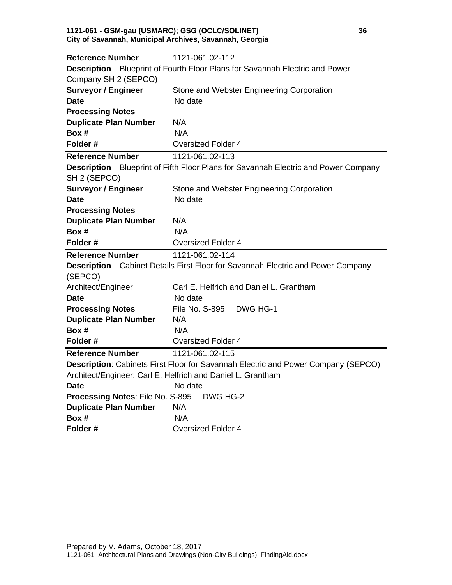#### **1121-061 - GSM-gau (USMARC); GSG (OCLC/SOLINET) 36 City of Savannah, Municipal Archives, Savannah, Georgia**

| <b>Reference Number</b>                                                     | 1121-061.02-112                                                                           |  |
|-----------------------------------------------------------------------------|-------------------------------------------------------------------------------------------|--|
| Description Blueprint of Fourth Floor Plans for Savannah Electric and Power |                                                                                           |  |
| Company SH 2 (SEPCO)                                                        |                                                                                           |  |
| <b>Surveyor / Engineer</b>                                                  | Stone and Webster Engineering Corporation                                                 |  |
| <b>Date</b>                                                                 | No date                                                                                   |  |
| <b>Processing Notes</b>                                                     |                                                                                           |  |
| <b>Duplicate Plan Number</b>                                                | N/A                                                                                       |  |
| Box #                                                                       | N/A                                                                                       |  |
| Folder#                                                                     | <b>Oversized Folder 4</b>                                                                 |  |
| <b>Reference Number</b>                                                     | 1121-061.02-113                                                                           |  |
|                                                                             | <b>Description</b> Blueprint of Fifth Floor Plans for Savannah Electric and Power Company |  |
| SH 2 (SEPCO)                                                                |                                                                                           |  |
| <b>Surveyor / Engineer</b>                                                  | Stone and Webster Engineering Corporation                                                 |  |
| Date                                                                        | No date                                                                                   |  |
| <b>Processing Notes</b>                                                     |                                                                                           |  |
| <b>Duplicate Plan Number</b>                                                | N/A                                                                                       |  |
| Box #                                                                       | N/A                                                                                       |  |
| Folder#                                                                     | <b>Oversized Folder 4</b>                                                                 |  |
|                                                                             |                                                                                           |  |
| <b>Reference Number</b>                                                     | 1121-061.02-114                                                                           |  |
|                                                                             | <b>Description</b> Cabinet Details First Floor for Savannah Electric and Power Company    |  |
| (SEPCO)                                                                     |                                                                                           |  |
| Architect/Engineer                                                          | Carl E. Helfrich and Daniel L. Grantham                                                   |  |
| Date                                                                        | No date                                                                                   |  |
| <b>Processing Notes</b>                                                     | File No. S-895<br>DWG HG-1                                                                |  |
| <b>Duplicate Plan Number</b>                                                | N/A                                                                                       |  |
| Box #                                                                       | N/A                                                                                       |  |
| Folder#                                                                     | Oversized Folder 4                                                                        |  |
| <b>Reference Number</b>                                                     | 1121-061.02-115                                                                           |  |
|                                                                             | Description: Cabinets First Floor for Savannah Electric and Power Company (SEPCO)         |  |
|                                                                             | Architect/Engineer: Carl E. Helfrich and Daniel L. Grantham                               |  |
| <b>Date</b>                                                                 | No date                                                                                   |  |
| Processing Notes: File No. S-895                                            | DWG HG-2                                                                                  |  |
| <b>Duplicate Plan Number</b>                                                | N/A                                                                                       |  |
| Box #<br>Folder#                                                            | N/A                                                                                       |  |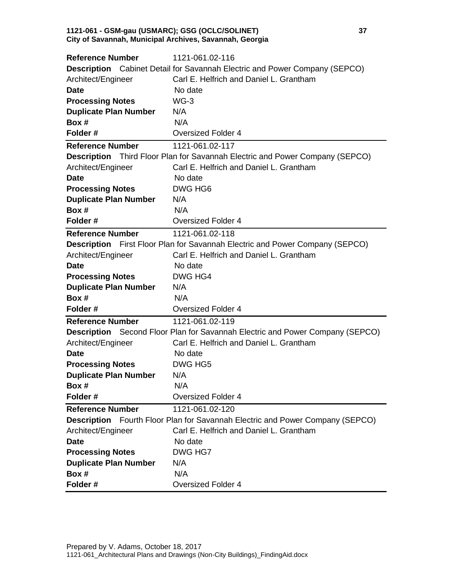#### **1121-061 - GSM-gau (USMARC); GSG (OCLC/SOLINET) 37 City of Savannah, Municipal Archives, Savannah, Georgia**

| <b>Reference Number</b>      | 1121-061.02-116                                                                      |
|------------------------------|--------------------------------------------------------------------------------------|
|                              | <b>Description</b> Cabinet Detail for Savannah Electric and Power Company (SEPCO)    |
| Architect/Engineer           | Carl E. Helfrich and Daniel L. Grantham                                              |
| <b>Date</b>                  | No date                                                                              |
| <b>Processing Notes</b>      | $WG-3$                                                                               |
| <b>Duplicate Plan Number</b> | N/A                                                                                  |
| Box #                        | N/A                                                                                  |
| Folder#                      | <b>Oversized Folder 4</b>                                                            |
| <b>Reference Number</b>      | 1121-061.02-117                                                                      |
|                              | Description Third Floor Plan for Savannah Electric and Power Company (SEPCO)         |
| Architect/Engineer           | Carl E. Helfrich and Daniel L. Grantham                                              |
| <b>Date</b>                  | No date                                                                              |
| <b>Processing Notes</b>      | DWG HG6                                                                              |
| <b>Duplicate Plan Number</b> | N/A                                                                                  |
| Box #                        | N/A                                                                                  |
| Folder#                      | <b>Oversized Folder 4</b>                                                            |
| <b>Reference Number</b>      | 1121-061.02-118                                                                      |
|                              | <b>Description</b> First Floor Plan for Savannah Electric and Power Company (SEPCO)  |
| Architect/Engineer           | Carl E. Helfrich and Daniel L. Grantham                                              |
| <b>Date</b>                  | No date                                                                              |
| <b>Processing Notes</b>      | DWG HG4                                                                              |
| <b>Duplicate Plan Number</b> | N/A                                                                                  |
| Box #                        | N/A                                                                                  |
| Folder#                      | <b>Oversized Folder 4</b>                                                            |
| <b>Reference Number</b>      | 1121-061.02-119                                                                      |
|                              | <b>Description</b> Second Floor Plan for Savannah Electric and Power Company (SEPCO) |
| Architect/Engineer           | Carl E. Helfrich and Daniel L. Grantham                                              |
| <b>Date</b>                  | No date                                                                              |
| <b>Processing Notes</b>      | DWG HG5                                                                              |
| <b>Duplicate Plan Number</b> | N/A                                                                                  |
| Box #                        | N/A                                                                                  |
| Folder#                      | <b>Oversized Folder 4</b>                                                            |
| <b>Reference Number</b>      | 1121-061.02-120                                                                      |
|                              | <b>Description</b> Fourth Floor Plan for Savannah Electric and Power Company (SEPCO) |
| Architect/Engineer           | Carl E. Helfrich and Daniel L. Grantham                                              |
| <b>Date</b>                  | No date                                                                              |
| <b>Processing Notes</b>      | DWG HG7                                                                              |
| <b>Duplicate Plan Number</b> | N/A                                                                                  |
| Box #                        | N/A                                                                                  |
| Folder#                      | <b>Oversized Folder 4</b>                                                            |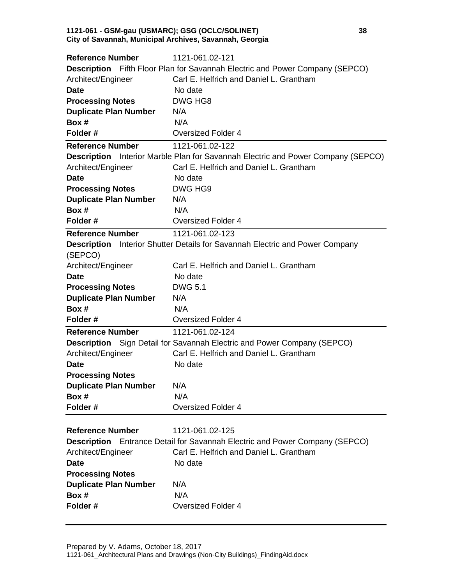#### **1121-061 - GSM-gau (USMARC); GSG (OCLC/SOLINET) 38 City of Savannah, Municipal Archives, Savannah, Georgia**

| <b>Reference Number</b>      | 1121-061.02-121                                                                         |
|------------------------------|-----------------------------------------------------------------------------------------|
|                              | <b>Description</b> Fifth Floor Plan for Savannah Electric and Power Company (SEPCO)     |
| Architect/Engineer           | Carl E. Helfrich and Daniel L. Grantham                                                 |
| <b>Date</b>                  | No date                                                                                 |
| <b>Processing Notes</b>      | DWG HG8                                                                                 |
| <b>Duplicate Plan Number</b> | N/A                                                                                     |
| Box #                        | N/A                                                                                     |
| Folder#                      | <b>Oversized Folder 4</b>                                                               |
| <b>Reference Number</b>      | 1121-061.02-122                                                                         |
|                              | <b>Description</b> Interior Marble Plan for Savannah Electric and Power Company (SEPCO) |
| Architect/Engineer           | Carl E. Helfrich and Daniel L. Grantham                                                 |
| <b>Date</b>                  | No date                                                                                 |
| <b>Processing Notes</b>      | DWG HG9                                                                                 |
| <b>Duplicate Plan Number</b> | N/A                                                                                     |
| Box #                        | N/A                                                                                     |
| Folder#                      | <b>Oversized Folder 4</b>                                                               |
| <b>Reference Number</b>      | 1121-061.02-123                                                                         |
|                              | <b>Description</b> Interior Shutter Details for Savannah Electric and Power Company     |
| (SEPCO)                      |                                                                                         |
| Architect/Engineer           | Carl E. Helfrich and Daniel L. Grantham                                                 |
| <b>Date</b>                  | No date                                                                                 |
| <b>Processing Notes</b>      | <b>DWG 5.1</b>                                                                          |
| <b>Duplicate Plan Number</b> | N/A                                                                                     |
| Box #                        | N/A                                                                                     |
| Folder#                      | <b>Oversized Folder 4</b>                                                               |
| <b>Reference Number</b>      | 1121-061.02-124                                                                         |
|                              | Description Sign Detail for Savannah Electric and Power Company (SEPCO)                 |
| Architect/Engineer           | Carl E. Helfrich and Daniel L. Grantham                                                 |
| <b>Date</b>                  | No date                                                                                 |
| <b>Processing Notes</b>      |                                                                                         |
| <b>Duplicate Plan Number</b> | N/A                                                                                     |
| Box #                        | N/A                                                                                     |
| Folder#                      | <b>Oversized Folder 4</b>                                                               |
|                              |                                                                                         |
| <b>Reference Number</b>      | 1121-061.02-125                                                                         |
|                              | <b>Description</b> Entrance Detail for Savannah Electric and Power Company (SEPCO)      |
| Architect/Engineer           | Carl E. Helfrich and Daniel L. Grantham                                                 |
| <b>Date</b>                  | No date                                                                                 |
| <b>Processing Notes</b>      |                                                                                         |
| <b>Duplicate Plan Number</b> | N/A                                                                                     |
| Box #                        | N/A                                                                                     |
| Folder#                      | <b>Oversized Folder 4</b>                                                               |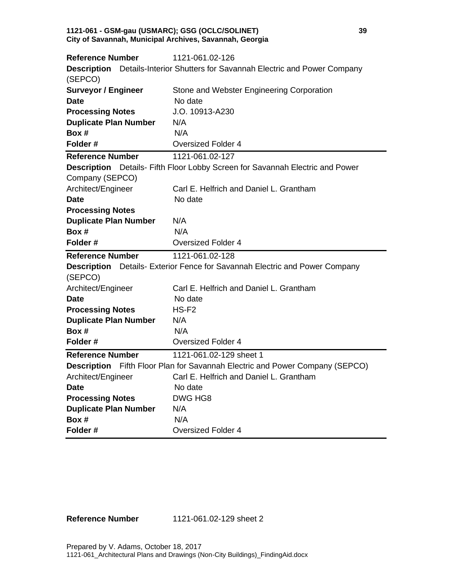#### **1121-061 - GSM-gau (USMARC); GSG (OCLC/SOLINET) 39 City of Savannah, Municipal Archives, Savannah, Georgia**

| <b>Reference Number</b>      | 1121-061.02-126                                                                      |
|------------------------------|--------------------------------------------------------------------------------------|
| <b>Description</b>           | Details-Interior Shutters for Savannah Electric and Power Company                    |
| (SEPCO)                      |                                                                                      |
| <b>Surveyor / Engineer</b>   | Stone and Webster Engineering Corporation                                            |
| Date                         | No date                                                                              |
| <b>Processing Notes</b>      | J.O. 10913-A230                                                                      |
| <b>Duplicate Plan Number</b> | N/A                                                                                  |
| Box #                        | N/A                                                                                  |
| Folder #                     | <b>Oversized Folder 4</b>                                                            |
| <b>Reference Number</b>      | 1121-061.02-127                                                                      |
|                              | <b>Description</b> Details- Fifth Floor Lobby Screen for Savannah Electric and Power |
| Company (SEPCO)              |                                                                                      |
| Architect/Engineer           | Carl E. Helfrich and Daniel L. Grantham                                              |
| <b>Date</b>                  | No date                                                                              |
| <b>Processing Notes</b>      |                                                                                      |
| <b>Duplicate Plan Number</b> | N/A                                                                                  |
| Box #                        | N/A                                                                                  |
| Folder#                      | <b>Oversized Folder 4</b>                                                            |
|                              |                                                                                      |
| <b>Reference Number</b>      | 1121-061.02-128                                                                      |
| <b>Description</b>           | Details- Exterior Fence for Savannah Electric and Power Company                      |
| (SEPCO)                      |                                                                                      |
| Architect/Engineer           | Carl E. Helfrich and Daniel L. Grantham                                              |
| Date                         | No date                                                                              |
| <b>Processing Notes</b>      | $HS-F2$                                                                              |
| <b>Duplicate Plan Number</b> | N/A                                                                                  |
| Box #                        | N/A                                                                                  |
| Folder#                      | <b>Oversized Folder 4</b>                                                            |
| <b>Reference Number</b>      | 1121-061.02-129 sheet 1                                                              |
| <b>Description</b>           | Fifth Floor Plan for Savannah Electric and Power Company (SEPCO)                     |
| Architect/Engineer           | Carl E. Helfrich and Daniel L. Grantham                                              |
| <b>Date</b>                  | No date                                                                              |
| <b>Processing Notes</b>      | DWG HG8                                                                              |
| <b>Duplicate Plan Number</b> | N/A                                                                                  |
| Box #                        | N/A                                                                                  |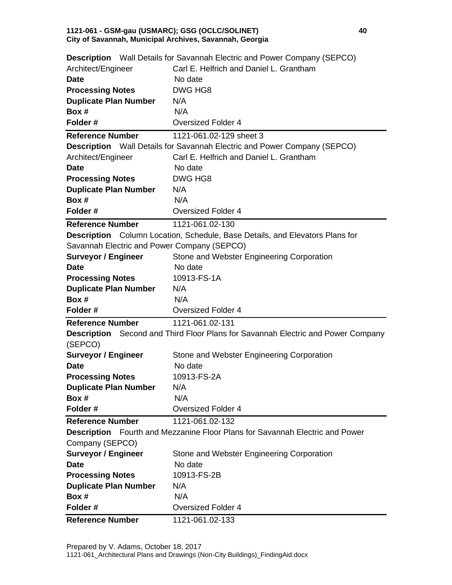#### **1121-061 - GSM-gau (USMARC); GSG (OCLC/SOLINET) 40 City of Savannah, Municipal Archives, Savannah, Georgia**

|                                             | <b>Description</b> Wall Details for Savannah Electric and Power Company (SEPCO)         |
|---------------------------------------------|-----------------------------------------------------------------------------------------|
| Architect/Engineer                          | Carl E. Helfrich and Daniel L. Grantham                                                 |
| <b>Date</b>                                 | No date                                                                                 |
| <b>Processing Notes</b>                     | DWG HG8                                                                                 |
| <b>Duplicate Plan Number</b>                | N/A                                                                                     |
| Box #                                       | N/A                                                                                     |
| Folder#                                     | <b>Oversized Folder 4</b>                                                               |
| <b>Reference Number</b>                     | 1121-061.02-129 sheet 3                                                                 |
|                                             | <b>Description</b> Wall Details for Savannah Electric and Power Company (SEPCO)         |
| Architect/Engineer                          | Carl E. Helfrich and Daniel L. Grantham                                                 |
| <b>Date</b>                                 | No date                                                                                 |
| <b>Processing Notes</b>                     | DWG HG8                                                                                 |
| <b>Duplicate Plan Number</b>                | N/A                                                                                     |
| Box #                                       | N/A                                                                                     |
| Folder#                                     | <b>Oversized Folder 4</b>                                                               |
| <b>Reference Number</b>                     | 1121-061.02-130                                                                         |
|                                             | <b>Description</b> Column Location, Schedule, Base Details, and Elevators Plans for     |
| Savannah Electric and Power Company (SEPCO) |                                                                                         |
| <b>Surveyor / Engineer</b>                  | Stone and Webster Engineering Corporation                                               |
| <b>Date</b>                                 | No date                                                                                 |
| <b>Processing Notes</b>                     | 10913-FS-1A                                                                             |
| <b>Duplicate Plan Number</b>                | N/A                                                                                     |
| Box #                                       | N/A                                                                                     |
| Folder#                                     | <b>Oversized Folder 4</b>                                                               |
| <b>Reference Number</b>                     | 1121-061.02-131                                                                         |
|                                             | <b>Description</b> Second and Third Floor Plans for Savannah Electric and Power Company |
| (SEPCO)                                     |                                                                                         |
| <b>Surveyor / Engineer</b>                  | Stone and Webster Engineering Corporation                                               |
| <b>Date</b>                                 | No date                                                                                 |
| <b>Processing Notes</b>                     | 10913-FS-2A                                                                             |
| <b>Duplicate Plan Number</b>                | N/A                                                                                     |
| Box #                                       | N/A                                                                                     |
| Folder#                                     | <b>Oversized Folder 4</b>                                                               |
| <b>Reference Number</b>                     | 1121-061.02-132                                                                         |
|                                             | Description Fourth and Mezzanine Floor Plans for Savannah Electric and Power            |
| Company (SEPCO)                             |                                                                                         |
| <b>Surveyor / Engineer</b>                  | Stone and Webster Engineering Corporation                                               |
| <b>Date</b>                                 | No date                                                                                 |
| <b>Processing Notes</b>                     | 10913-FS-2B                                                                             |
| <b>Duplicate Plan Number</b>                | N/A                                                                                     |
| Box #                                       | N/A                                                                                     |
| Folder#                                     | <b>Oversized Folder 4</b>                                                               |
| <b>Reference Number</b>                     | 1121-061.02-133                                                                         |
|                                             |                                                                                         |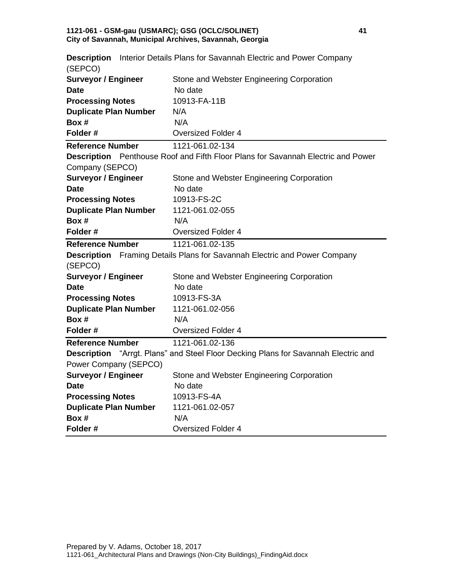#### **1121-061 - GSM-gau (USMARC); GSG (OCLC/SOLINET) 41 City of Savannah, Municipal Archives, Savannah, Georgia**

| (SEPCO)                      | <b>Description</b> Interior Details Plans for Savannah Electric and Power Company         |
|------------------------------|-------------------------------------------------------------------------------------------|
| <b>Surveyor / Engineer</b>   | Stone and Webster Engineering Corporation                                                 |
| <b>Date</b>                  | No date                                                                                   |
| <b>Processing Notes</b>      | 10913-FA-11B                                                                              |
| <b>Duplicate Plan Number</b> | N/A                                                                                       |
| Box #                        | N/A                                                                                       |
| Folder#                      | <b>Oversized Folder 4</b>                                                                 |
| <b>Reference Number</b>      | 1121-061.02-134                                                                           |
|                              | <b>Description</b> Penthouse Roof and Fifth Floor Plans for Savannah Electric and Power   |
| Company (SEPCO)              |                                                                                           |
| <b>Surveyor / Engineer</b>   | Stone and Webster Engineering Corporation                                                 |
| <b>Date</b>                  | No date                                                                                   |
| <b>Processing Notes</b>      | 10913-FS-2C                                                                               |
| <b>Duplicate Plan Number</b> | 1121-061.02-055                                                                           |
| Box #                        | N/A                                                                                       |
| Folder#                      | <b>Oversized Folder 4</b>                                                                 |
| <b>Reference Number</b>      | 1121-061.02-135                                                                           |
|                              | <b>Description</b> Framing Details Plans for Savannah Electric and Power Company          |
| (SEPCO)                      |                                                                                           |
| <b>Surveyor / Engineer</b>   | Stone and Webster Engineering Corporation                                                 |
| <b>Date</b>                  | No date                                                                                   |
| <b>Processing Notes</b>      | 10913-FS-3A                                                                               |
| <b>Duplicate Plan Number</b> | 1121-061.02-056                                                                           |
| Box #                        | N/A                                                                                       |
| Folder#                      | <b>Oversized Folder 4</b>                                                                 |
| <b>Reference Number</b>      | 1121-061.02-136                                                                           |
|                              | <b>Description</b> "Arrgt. Plans" and Steel Floor Decking Plans for Savannah Electric and |
| Power Company (SEPCO)        |                                                                                           |
| <b>Surveyor / Engineer</b>   | Stone and Webster Engineering Corporation                                                 |
| Date                         | No date                                                                                   |
| <b>Processing Notes</b>      | 10913-FS-4A                                                                               |
| <b>Duplicate Plan Number</b> | 1121-061.02-057                                                                           |
| Box #                        | N/A                                                                                       |
| Folder#                      | <b>Oversized Folder 4</b>                                                                 |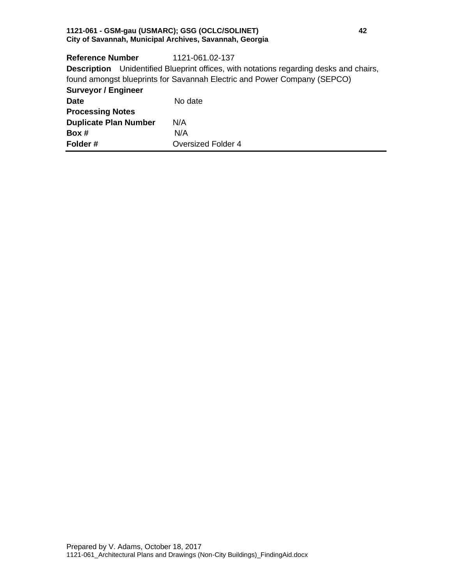#### **1121-061 - GSM-gau (USMARC); GSG (OCLC/SOLINET) 42 City of Savannah, Municipal Archives, Savannah, Georgia**

| <b>Reference Number</b>      | 1121-061.02-137                                                                               |
|------------------------------|-----------------------------------------------------------------------------------------------|
|                              | <b>Description</b> Unidentified Blueprint offices, with notations regarding desks and chairs, |
|                              | found amongst blueprints for Savannah Electric and Power Company (SEPCO)                      |
| <b>Surveyor / Engineer</b>   |                                                                                               |
| <b>Date</b>                  | No date                                                                                       |
| <b>Processing Notes</b>      |                                                                                               |
| <b>Duplicate Plan Number</b> | N/A                                                                                           |
| Box #                        | N/A                                                                                           |
| Folder#                      | <b>Oversized Folder 4</b>                                                                     |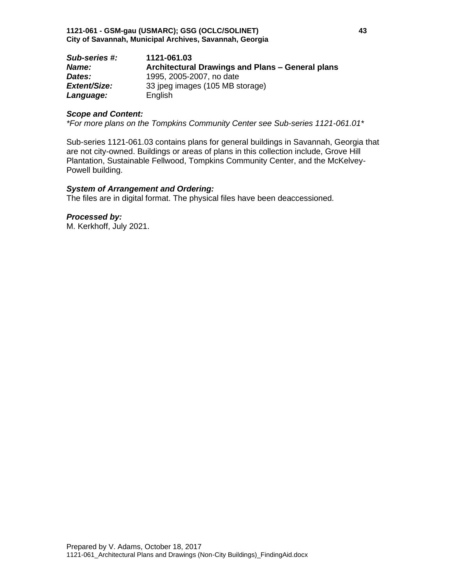| Sub-series #:       | 1121-061.03                                      |
|---------------------|--------------------------------------------------|
| Name:               | Architectural Drawings and Plans - General plans |
| Dates:              | 1995, 2005-2007, no date                         |
| <b>Extent/Size:</b> | 33 ipeg images (105 MB storage)                  |
| Language:           | English                                          |

### *Scope and Content:*

*\*For more plans on the Tompkins Community Center see Sub-series 1121-061.01\**

Sub-series 1121-061.03 contains plans for general buildings in Savannah, Georgia that are not city-owned. Buildings or areas of plans in this collection include, Grove Hill Plantation, Sustainable Fellwood, Tompkins Community Center, and the McKelvey-Powell building.

### *System of Arrangement and Ordering:*

The files are in digital format. The physical files have been deaccessioned.

*Processed by:*

M. Kerkhoff, July 2021.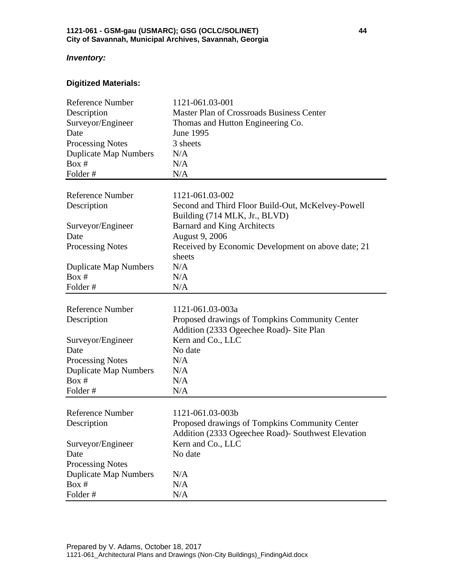## *Inventory:*

# **Digitized Materials:**

| <b>Reference Number</b>      | 1121-061.03-001                                    |
|------------------------------|----------------------------------------------------|
| Description                  | <b>Master Plan of Crossroads Business Center</b>   |
| Surveyor/Engineer            | Thomas and Hutton Engineering Co.                  |
| Date                         | June 1995                                          |
| <b>Processing Notes</b>      | 3 sheets                                           |
| <b>Duplicate Map Numbers</b> | N/A                                                |
| Box #                        | N/A                                                |
| Folder#                      | N/A                                                |
|                              |                                                    |
| <b>Reference Number</b>      | 1121-061.03-002                                    |
| Description                  | Second and Third Floor Build-Out, McKelvey-Powell  |
|                              | Building (714 MLK, Jr., BLVD)                      |
| Surveyor/Engineer            | <b>Barnard and King Architects</b>                 |
| Date                         | August 9, 2006                                     |
| <b>Processing Notes</b>      | Received by Economic Development on above date; 21 |
|                              | sheets                                             |
| <b>Duplicate Map Numbers</b> | N/A                                                |
| Box #                        | N/A                                                |
| Folder#                      | N/A                                                |
|                              |                                                    |
| <b>Reference Number</b>      | 1121-061.03-003a                                   |
|                              |                                                    |
| Description                  | Proposed drawings of Tompkins Community Center     |
|                              | Addition (2333 Ogeechee Road) - Site Plan          |
| Surveyor/Engineer            | Kern and Co., LLC                                  |
| Date                         | No date                                            |
| <b>Processing Notes</b>      | N/A                                                |
| <b>Duplicate Map Numbers</b> | N/A                                                |
| Box #                        | N/A                                                |
| Folder#                      | N/A                                                |
|                              |                                                    |
| <b>Reference Number</b>      | 1121-061.03-003b                                   |
| Description                  | Proposed drawings of Tompkins Community Center     |
|                              | Addition (2333 Ogeechee Road)- Southwest Elevation |
| Surveyor/Engineer            | Kern and Co., LLC                                  |
| Date                         | No date                                            |
| <b>Processing Notes</b>      |                                                    |
| <b>Duplicate Map Numbers</b> | N/A                                                |
| Box #<br>Folder#             | N/A<br>N/A                                         |